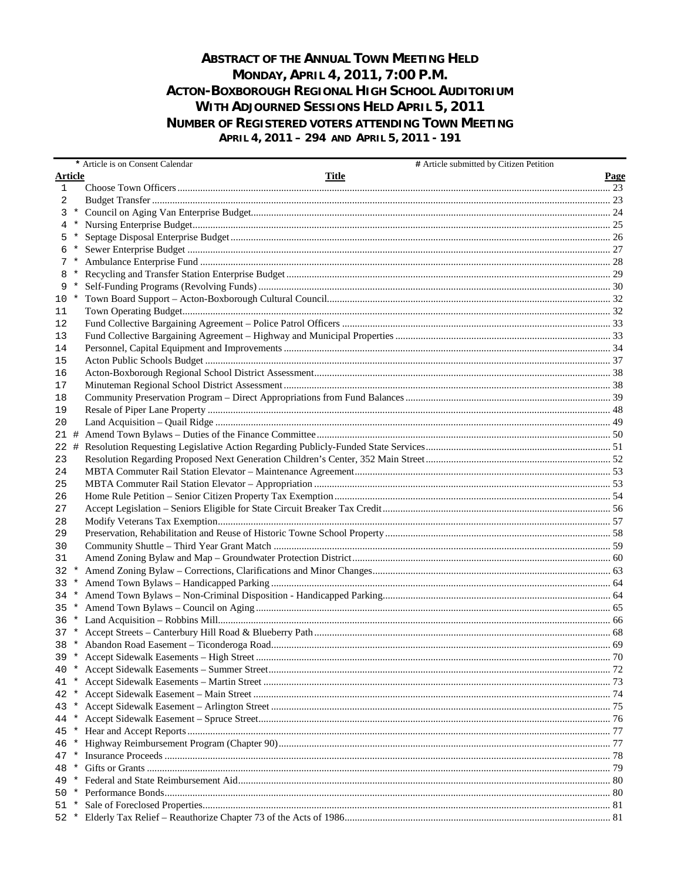## **ABSTRACT OF THE ANNUAL TOWN MEETING HELD** MONDAY, APRIL 4, 2011, 7:00 P.M. ACTON-BOXBOROUGH REGIONAL HIGH SCHOOL AUDITORIUM **WITH ADJOURNED SESSIONS HELD APRIL 5, 2011 NUMBER OF REGISTERED VOTERS ATTENDING TOWN MEETING** APRIL 4, 2011 - 294 AND APRIL 5, 2011 - 191

|                |         | # Article submitted by Citizen Petition<br>* Article is on Consent Calendar |      |
|----------------|---------|-----------------------------------------------------------------------------|------|
| <b>Article</b> |         | Title                                                                       | Page |
| 1              |         |                                                                             |      |
| 2              |         |                                                                             |      |
| 3              | $\ast$  |                                                                             |      |
|                |         |                                                                             |      |
| 5              |         |                                                                             |      |
|                |         |                                                                             |      |
| 7              |         |                                                                             |      |
|                |         |                                                                             |      |
| 9              | $\ast$  |                                                                             |      |
| $10*$          |         |                                                                             |      |
| 11             |         |                                                                             |      |
| 12             |         |                                                                             |      |
| 13             |         |                                                                             |      |
| 14             |         |                                                                             |      |
| 15             |         |                                                                             |      |
| 16             |         |                                                                             |      |
| 17             |         |                                                                             |      |
| 18             |         |                                                                             |      |
| 19             |         |                                                                             |      |
| 20             |         |                                                                             |      |
| 21#            |         |                                                                             |      |
| 22 #           |         |                                                                             |      |
| 23             |         |                                                                             |      |
| 24             |         |                                                                             |      |
| 25             |         |                                                                             |      |
| 26             |         |                                                                             |      |
| 27             |         |                                                                             |      |
| 28             |         |                                                                             |      |
| 29             |         |                                                                             |      |
| 30             |         |                                                                             |      |
| 31             |         |                                                                             |      |
| 32             |         |                                                                             |      |
| $33 *$         |         |                                                                             |      |
| $34 *$         |         |                                                                             |      |
| 35             | $\ast$  |                                                                             |      |
| $36 *$         |         |                                                                             |      |
| $37 *$         |         |                                                                             |      |
|                |         |                                                                             |      |
| 39 *           |         |                                                                             |      |
| 40 *           |         |                                                                             |      |
| 41 *           |         |                                                                             |      |
| 42 *           |         |                                                                             |      |
| 43             | $\ast$  |                                                                             |      |
| 44             | $\ast$  |                                                                             |      |
| 45             | $\ast$  |                                                                             |      |
| 46             |         |                                                                             |      |
| 47             |         |                                                                             |      |
| 48             | *       |                                                                             |      |
| 49.            | $\star$ |                                                                             |      |
| $50*$          |         |                                                                             |      |
| 51 *           |         |                                                                             |      |
|                |         |                                                                             |      |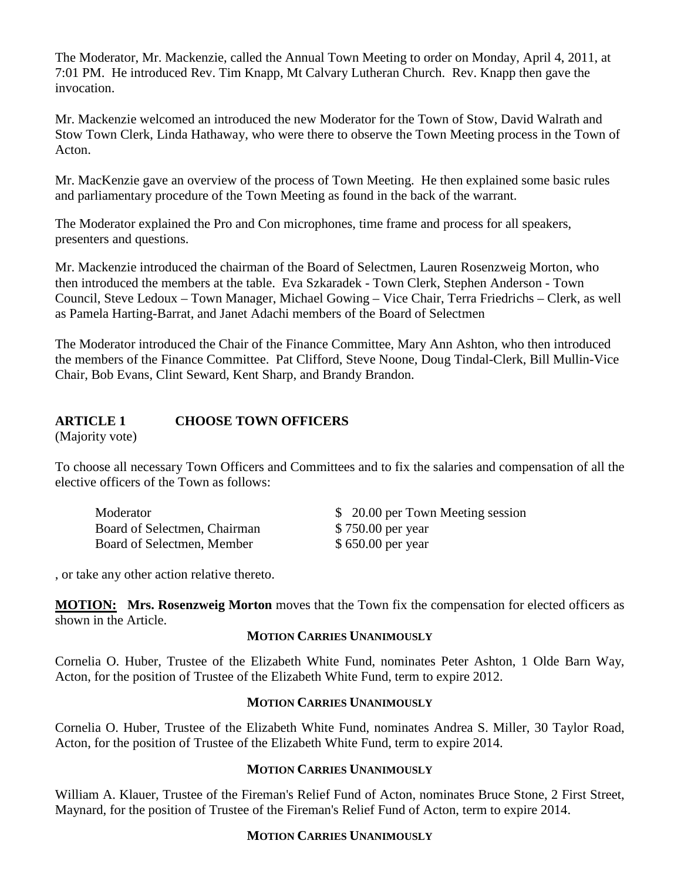The Moderator, Mr. Mackenzie, called the Annual Town Meeting to order on Monday, April 4, 2011, at 7:01 PM. He introduced Rev. Tim Knapp, Mt Calvary Lutheran Church. Rev. Knapp then gave the invocation.

Mr. Mackenzie welcomed an introduced the new Moderator for the Town of Stow, David Walrath and Stow Town Clerk, Linda Hathaway, who were there to observe the Town Meeting process in the Town of Acton.

Mr. MacKenzie gave an overview of the process of Town Meeting. He then explained some basic rules and parliamentary procedure of the Town Meeting as found in the back of the warrant.

The Moderator explained the Pro and Con microphones, time frame and process for all speakers, presenters and questions.

Mr. Mackenzie introduced the chairman of the Board of Selectmen, Lauren Rosenzweig Morton, who then introduced the members at the table. Eva Szkaradek - Town Clerk, Stephen Anderson - Town Council, Steve Ledoux – Town Manager, Michael Gowing – Vice Chair, Terra Friedrichs – Clerk, as well as Pamela Harting-Barrat, and Janet Adachi members of the Board of Selectmen

The Moderator introduced the Chair of the Finance Committee, Mary Ann Ashton, who then introduced the members of the Finance Committee. Pat Clifford, Steve Noone, Doug Tindal-Clerk, Bill Mullin-Vice Chair, Bob Evans, Clint Seward, Kent Sharp, and Brandy Brandon.

## **ARTICLE 1 CHOOSE TOWN OFFICERS**

(Majority vote)

To choose all necessary Town Officers and Committees and to fix the salaries and compensation of all the elective officers of the Town as follows:

| Moderator                    | \$ 20.00 per Town Meeting session |
|------------------------------|-----------------------------------|
| Board of Selectmen, Chairman | \$750.00 per year                 |
| Board of Selectmen, Member   | \$650.00 per year                 |

, or take any other action relative thereto.

**MOTION:** Mrs. Rosenzweig Morton moves that the Town fix the compensation for elected officers as shown in the Article.

#### **MOTION CARRIES UNANIMOUSLY**

Cornelia O. Huber, Trustee of the Elizabeth White Fund, nominates Peter Ashton, 1 Olde Barn Way, Acton, for the position of Trustee of the Elizabeth White Fund, term to expire 2012.

#### **MOTION CARRIES UNANIMOUSLY**

Cornelia O. Huber, Trustee of the Elizabeth White Fund, nominates Andrea S. Miller, 30 Taylor Road, Acton, for the position of Trustee of the Elizabeth White Fund, term to expire 2014.

#### **MOTION CARRIES UNANIMOUSLY**

William A. Klauer, Trustee of the Fireman's Relief Fund of Acton, nominates Bruce Stone, 2 First Street, Maynard, for the position of Trustee of the Fireman's Relief Fund of Acton, term to expire 2014.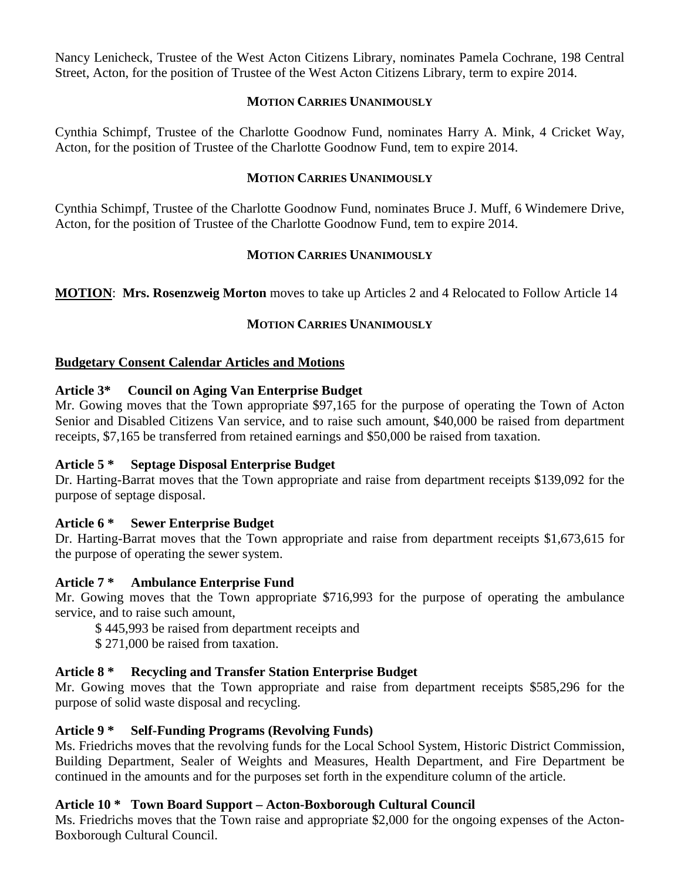Nancy Lenicheck, Trustee of the West Acton Citizens Library, nominates Pamela Cochrane, 198 Central Street, Acton, for the position of Trustee of the West Acton Citizens Library, term to expire 2014.

#### **MOTION CARRIES UNANIMOUSLY**

Cynthia Schimpf, Trustee of the Charlotte Goodnow Fund, nominates Harry A. Mink, 4 Cricket Way, Acton, for the position of Trustee of the Charlotte Goodnow Fund, tem to expire 2014.

#### **MOTION CARRIES UNANIMOUSLY**

Cynthia Schimpf, Trustee of the Charlotte Goodnow Fund, nominates Bruce J. Muff, 6 Windemere Drive, Acton, for the position of Trustee of the Charlotte Goodnow Fund, tem to expire 2014.

#### **MOTION CARRIES UNANIMOUSLY**

**MOTION**: **Mrs. Rosenzweig Morton** moves to take up Articles 2 and 4 Relocated to Follow Article 14

#### **MOTION CARRIES UNANIMOUSLY**

#### **Budgetary Consent Calendar Articles and Motions**

#### **Article 3\* Council on Aging Van Enterprise Budget**

Mr. Gowing moves that the Town appropriate \$97,165 for the purpose of operating the Town of Acton Senior and Disabled Citizens Van service, and to raise such amount, \$40,000 be raised from department receipts, \$7,165 be transferred from retained earnings and \$50,000 be raised from taxation.

#### **Article 5 \* Septage Disposal Enterprise Budget**

Dr. Harting-Barrat moves that the Town appropriate and raise from department receipts \$139,092 for the purpose of septage disposal.

#### **Article 6 \* Sewer Enterprise Budget**

Dr. Harting-Barrat moves that the Town appropriate and raise from department receipts \$1,673,615 for the purpose of operating the sewer system.

#### **Article 7 \* Ambulance Enterprise Fund**

Mr. Gowing moves that the Town appropriate \$716,993 for the purpose of operating the ambulance service, and to raise such amount,

\$ 445,993 be raised from department receipts and

\$ 271,000 be raised from taxation.

#### **Article 8 \* Recycling and Transfer Station Enterprise Budget**

Mr. Gowing moves that the Town appropriate and raise from department receipts \$585,296 for the purpose of solid waste disposal and recycling.

#### **Article 9 \* Self-Funding Programs (Revolving Funds)**

Ms. Friedrichs moves that the revolving funds for the Local School System, Historic District Commission, Building Department, Sealer of Weights and Measures, Health Department, and Fire Department be continued in the amounts and for the purposes set forth in the expenditure column of the article.

#### **Article 10 \* Town Board Support – Acton-Boxborough Cultural Council**

Ms. Friedrichs moves that the Town raise and appropriate \$2,000 for the ongoing expenses of the Acton-Boxborough Cultural Council.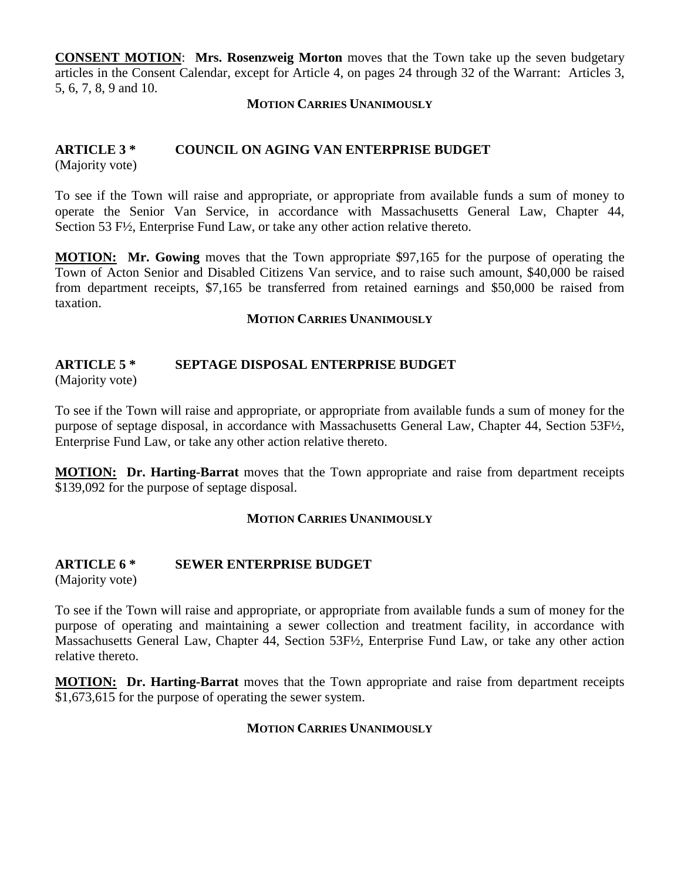**CONSENT MOTION** : **Mrs. Rosenzweig Morton** moves that the Town take up the seven budgetary articles in the Consent Calendar, except for Article 4, on pages 24 through 32 of the Warrant: Articles 3, 5, 6, 7, 8, 9 and 10.

#### **MOTION CARRIES UNANIMOUSLY**

## **ARTICLE 3 \* COUNCIL ON AGING VAN ENTERPRISE BUDGET**

(Majority vote)

To see if the Town will raise and appropriate, or appropriate from available funds a sum of money to operate the Senior Van Service, in accordance with Massachusetts General Law, Chapter 44, Section 53 F½, Enterprise Fund Law, or take any other action relative thereto.

**MOTION:** Mr. Gowing moves that the Town appropriate \$97,165 for the purpose of operating the Town of Acton Senior and Disabled Citizens Van service, and to raise such amount, \$40,000 be raised from department receipts, \$7,165 be transferred from retained earnings and \$50,000 be raised from taxation.

#### **MOTION CARRIES UNANIMOUSLY**

## **ARTICLE 5 \* SEPTAGE DISPOSAL ENTERPRISE BUDGET**

(Majority vote)

To see if the Town will raise and appropriate, or appropriate from available funds a sum of money for the purpose of septage disposal, in accordance with Massachusetts General Law, Chapter 44, Section 53F½, Enterprise Fund Law, or take any other action relative thereto.

**MOTION: Dr. Harting-Barrat** moves that the Town appropriate and raise from department receipts \$139,092 for the purpose of septage disposal.

#### **MOTION CARRIES UNANIMOUSLY**

#### **ARTICLE 6 \* SEWER ENTERPRISE BUDGET**

(Majority vote)

To see if the Town will raise and appropriate, or appropriate from available funds a sum of money for the purpose of operating and maintaining a sewer collection and treatment facility, in accordance with Massachusetts General Law, Chapter 44, Section 53F½, Enterprise Fund Law, or take any other action relative thereto.

**MOTION: Dr. Harting-Barrat** moves that the Town appropriate and raise from department receipts \$1,673,615 for the purpose of operating the sewer system.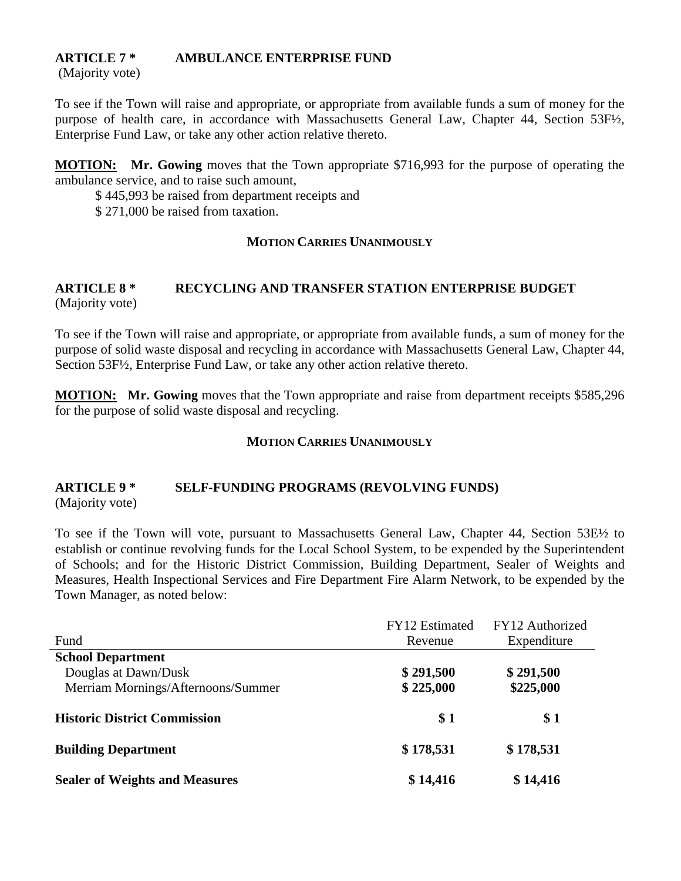## **ARTICLE 7 \* AMBULANCE ENTERPRISE FUND**

(Majority vote)

To see if the Town will raise and appropriate, or appropriate from available funds a sum of money for the purpose of health care, in accordance with Massachusetts General Law, Chapter 44, Section 53F½, Enterprise Fund Law, or take any other action relative thereto.

**MOTION: Mr. Gowing** moves that the Town appropriate \$716,993 for the purpose of operating the ambulance service, and to raise such amount,

\$ 445,993 be raised from department receipts and

\$ 271,000 be raised from taxation.

#### **MOTION CARRIES UNANIMOUSLY**

#### **ARTICLE 8 \* RECYCLING AND TRANSFER STATION ENTERPRISE BUDGET** (Majority vote)

To see if the Town will raise and appropriate, or appropriate from available funds, a sum of money for the purpose of solid waste disposal and recycling in accordance with Massachusetts General Law, Chapter 44, Section 53F½, Enterprise Fund Law, or take any other action relative thereto.

**MOTION: Mr. Gowing** moves that the Town appropriate and raise from department receipts \$585,296 for the purpose of solid waste disposal and recycling.

#### **MOTION CARRIES UNANIMOUSLY**

# **ARTICLE 9 \* SELF-FUNDING PROGRAMS (REVOLVING FUNDS)**

(Majority vote)

To see if the Town will vote, pursuant to Massachusetts General Law, Chapter 44, Section 53E½ to establish or continue revolving funds for the Local School System, to be expended by the Superintendent of Schools; and for the Historic District Commission, Building Department, Sealer of Weights and Measures, Health Inspectional Services and Fire Department Fire Alarm Network, to be expended by the Town Manager, as noted below:

|                                       | <b>FY12</b> Estimated | FY12 Authorized |
|---------------------------------------|-----------------------|-----------------|
| Fund                                  | Revenue               | Expenditure     |
| <b>School Department</b>              |                       |                 |
| Douglas at Dawn/Dusk                  | \$291,500             | \$291,500       |
| Merriam Mornings/Afternoons/Summer    | \$225,000             | \$225,000       |
| <b>Historic District Commission</b>   | \$1                   | \$1             |
| <b>Building Department</b>            | \$178,531             | \$178,531       |
| <b>Sealer of Weights and Measures</b> | \$14,416              | \$14,416        |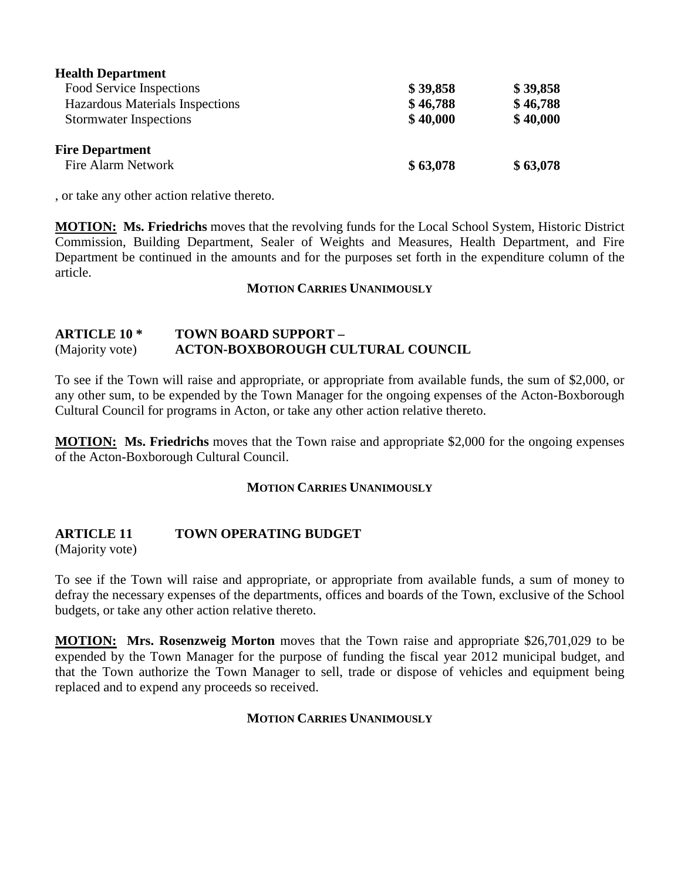| <b>Health Department</b>        |          |          |
|---------------------------------|----------|----------|
| Food Service Inspections        | \$39,858 | \$39,858 |
| Hazardous Materials Inspections | \$46,788 | \$46,788 |
| <b>Stormwater Inspections</b>   | \$40,000 | \$40,000 |
| <b>Fire Department</b>          |          |          |
| Fire Alarm Network              | \$63,078 | \$63,078 |

, or take any other action relative thereto.

**MOTION:** Ms. Friedrichs moves that the revolving funds for the Local School System, Historic District Commission, Building Department, Sealer of Weights and Measures, Health Department, and Fire Department be continued in the amounts and for the purposes set forth in the expenditure column of the article.

#### **MOTION CARRIES UNANIMOUSLY**

#### **ARTICLE 10 \* TOWN BOARD SUPPORT –** (Majority vote) **ACTON-BOXBOROUGH CULTURAL COUNCIL**

To see if the Town will raise and appropriate, or appropriate from available funds, the sum of \$2,000, or any other sum, to be expended by the Town Manager for the ongoing expenses of the Acton-Boxborough Cultural Council for programs in Acton, or take any other action relative thereto.

**MOTION: Ms. Friedrichs** moves that the Town raise and appropriate \$2,000 for the ongoing expenses of the Acton-Boxborough Cultural Council.

#### **MOTION CARRIES UNANIMOUSLY**

## **ARTICLE 11 TOWN OPERATING BUDGET**

(Majority vote)

To see if the Town will raise and appropriate, or appropriate from available funds, a sum of money to defray the necessary expenses of the departments, offices and boards of the Town, exclusive of the School budgets, or take any other action relative thereto.

**MOTION: Mrs. Rosenzweig Morton** moves that the Town raise and appropriate \$26,701,029 to be expended by the Town Manager for the purpose of funding the fiscal year 2012 municipal budget, and that the Town authorize the Town Manager to sell, trade or dispose of vehicles and equipment being replaced and to expend any proceeds so received.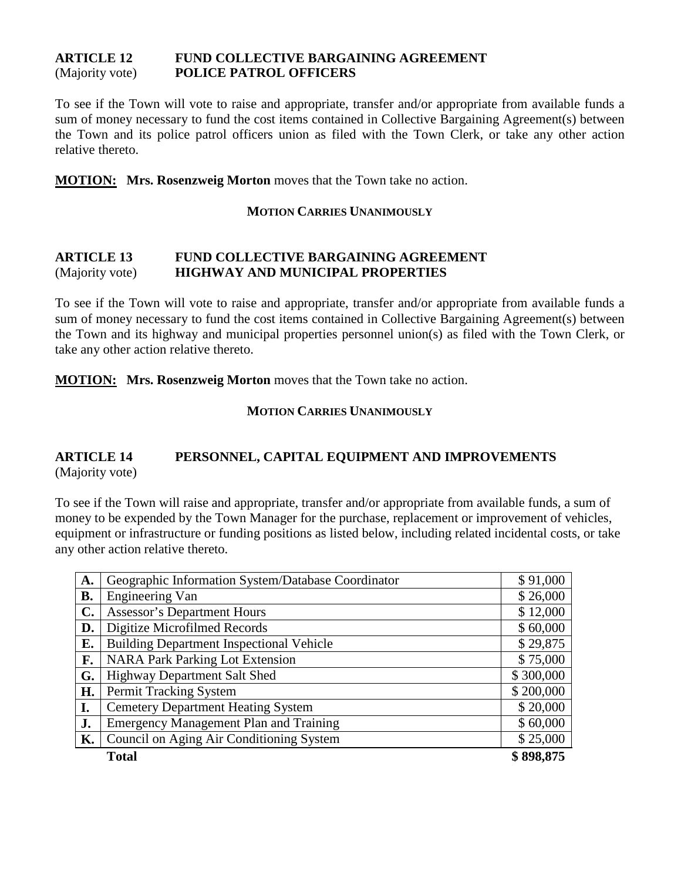#### **ARTICLE 12 FUND COLLECTIVE BARGAINING AGREEMENT** (Majority vote) **POLICE PATROL OFFICERS**

To see if the Town will vote to raise and appropriate, transfer and/or appropriate from available funds a sum of money necessary to fund the cost items contained in Collective Bargaining Agreement(s) between the Town and its police patrol officers union as filed with the Town Clerk, or take any other action relative thereto.

**MOTION: Mrs. Rosenzweig Morton** moves that the Town take no action.

#### **MOTION CARRIES UNANIMOUSLY**

#### **ARTICLE 13 FUND COLLECTIVE BARGAINING AGREEMENT** (Majority vote) **HIGHWAY AND MUNICIPAL PROPERTIES**

To see if the Town will vote to raise and appropriate, transfer and/or appropriate from available funds a sum of money necessary to fund the cost items contained in Collective Bargaining Agreement(s) between the Town and its highway and municipal properties personnel union(s) as filed with the Town Clerk, or take any other action relative thereto.

**MOTION: Mrs. Rosenzweig Morton** moves that the Town take no action.

#### **MOTION CARRIES UNANIMOUSLY**

#### **ARTICLE 14 PERSONNEL, CAPITAL EQUIPMENT AND IMPROVEMENTS** (Majority vote)

To see if the Town will raise and appropriate, transfer and/or appropriate from available funds, a sum of money to be expended by the Town Manager for the purchase, replacement or improvement of vehicles, equipment or infrastructure or funding positions as listed below, including related incidental costs, or take any other action relative thereto.

| A.             | Geographic Information System/Database Coordinator |           |  |
|----------------|----------------------------------------------------|-----------|--|
| <b>B.</b>      | <b>Engineering Van</b>                             | \$26,000  |  |
| $\mathbf{C}$ . | <b>Assessor's Department Hours</b>                 | \$12,000  |  |
| D.             | Digitize Microfilmed Records                       | \$60,000  |  |
| Е.             | <b>Building Department Inspectional Vehicle</b>    | \$29,875  |  |
| F.             | <b>NARA Park Parking Lot Extension</b>             | \$75,000  |  |
| G.             | Highway Department Salt Shed                       | \$300,000 |  |
| H.             | Permit Tracking System                             | \$200,000 |  |
| I.             | <b>Cemetery Department Heating System</b>          | \$20,000  |  |
| J.             | <b>Emergency Management Plan and Training</b>      | \$60,000  |  |
| К.             | Council on Aging Air Conditioning System           | \$25,000  |  |
|                | <b>Total</b>                                       | \$898,875 |  |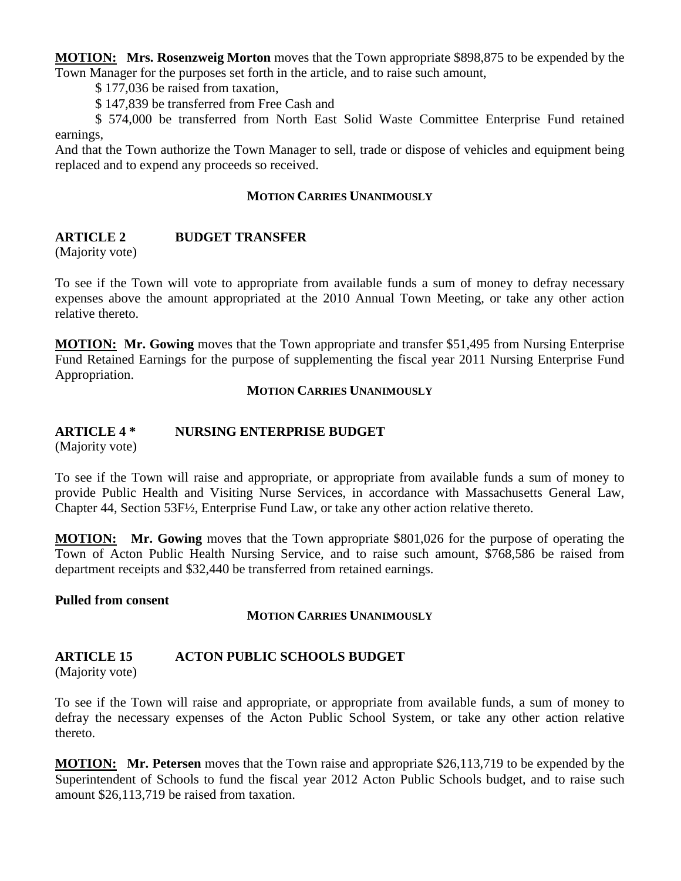**MOTION: Mrs. Rosenzweig Morton** moves that the Town appropriate \$898,875 to be expended by the Town Manager for the purposes set forth in the article, and to raise such amount,

\$ 177,036 be raised from taxation,

\$ 147,839 be transferred from Free Cash and

\$ 574,000 be transferred from North East Solid Waste Committee Enterprise Fund retained earnings,

And that the Town authorize the Town Manager to sell, trade or dispose of vehicles and equipment being replaced and to expend any proceeds so received.

#### **MOTION CARRIES UNANIMOUSLY**

#### **ARTICLE 2 BUDGET TRANSFER**

(Majority vote)

To see if the Town will vote to appropriate from available funds a sum of money to defray necessary expenses above the amount appropriated at the 2010 Annual Town Meeting, or take any other action relative thereto.

**MOTION:** Mr. Gowing moves that the Town appropriate and transfer \$51,495 from Nursing Enterprise Fund Retained Earnings for the purpose of supplementing the fiscal year 2011 Nursing Enterprise Fund Appropriation.

#### **MOTION CARRIES UNANIMOUSLY**

#### **ARTICLE 4 \* NURSING ENTERPRISE BUDGET**

(Majority vote)

To see if the Town will raise and appropriate, or appropriate from available funds a sum of money to provide Public Health and Visiting Nurse Services, in accordance with Massachusetts General Law, Chapter 44, Section 53F½, Enterprise Fund Law, or take any other action relative thereto.

**MOTION: Mr. Gowing** moves that the Town appropriate \$801,026 for the purpose of operating the Town of Acton Public Health Nursing Service, and to raise such amount, \$768,586 be raised from department receipts and \$32,440 be transferred from retained earnings.

**Pulled from consent**

#### **MOTION CARRIES UNANIMOUSLY**

#### **ARTICLE 15 ACTON PUBLIC SCHOOLS BUDGET**

(Majority vote)

To see if the Town will raise and appropriate, or appropriate from available funds, a sum of money to defray the necessary expenses of the Acton Public School System, or take any other action relative thereto.

**MOTION: Mr. Petersen** moves that the Town raise and appropriate \$26,113,719 to be expended by the Superintendent of Schools to fund the fiscal year 2012 Acton Public Schools budget, and to raise such amount \$26,113,719 be raised from taxation.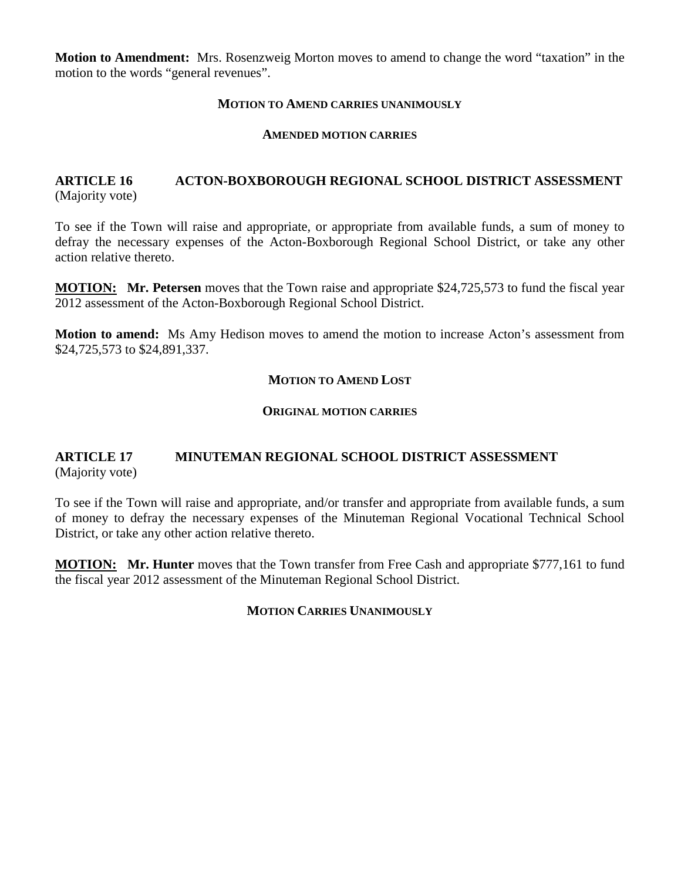**Motion to Amendment:** Mrs. Rosenzweig Morton moves to amend to change the word "taxation" in the motion to the words "general revenues".

#### **MOTION TO AMEND CARRIES UNANIMOUSLY**

#### **AMENDED MOTION CARRIES**

#### **ARTICLE 16 ACTON-BOXBOROUGH REGIONAL SCHOOL DISTRICT ASSESSMENT** (Majority vote)

To see if the Town will raise and appropriate, or appropriate from available funds, a sum of money to defray the necessary expenses of the Acton-Boxborough Regional School District, or take any other action relative thereto.

**MOTION: Mr. Petersen** moves that the Town raise and appropriate \$24,725,573 to fund the fiscal year 2012 assessment of the Acton-Boxborough Regional School District.

**Motion to amend:** Ms Amy Hedison moves to amend the motion to increase Acton's assessment from \$24,725,573 to \$24,891,337.

#### **MOTION TO AMEND LOST**

#### **ORIGINAL MOTION CARRIES**

#### **ARTICLE 17 MINUTEMAN REGIONAL SCHOOL DISTRICT ASSESSMENT** (Majority vote)

To see if the Town will raise and appropriate, and/or transfer and appropriate from available funds, a sum of money to defray the necessary expenses of the Minuteman Regional Vocational Technical School District, or take any other action relative thereto.

**MOTION: Mr. Hunter** moves that the Town transfer from Free Cash and appropriate \$777,161 to fund the fiscal year 2012 assessment of the Minuteman Regional School District.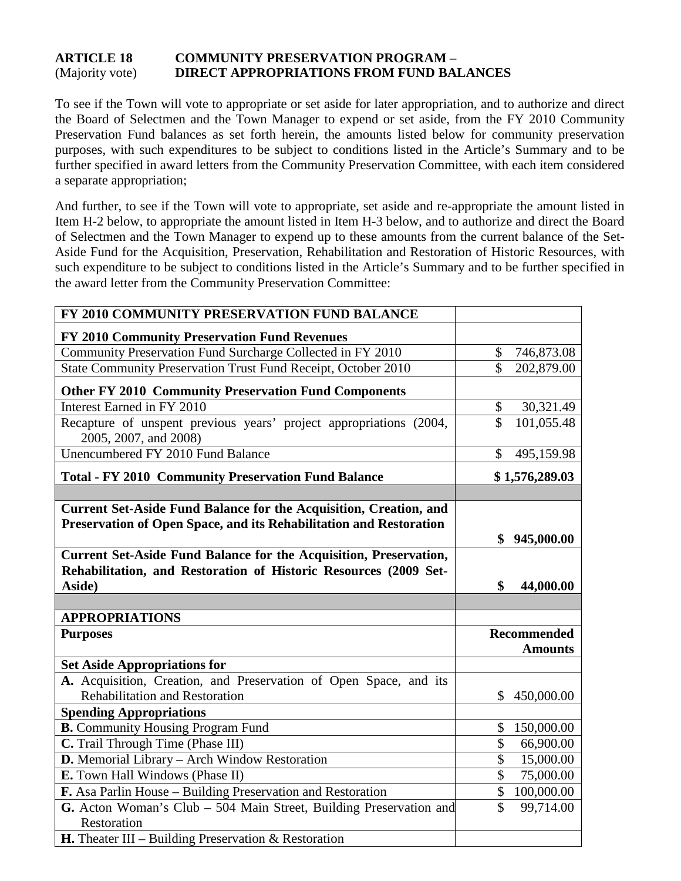#### **ARTICLE 18 COMMUNITY PRESERVATION PROGRAM –** (Majority vote) **DIRECT APPROPRIATIONS FROM FUND BALANCES**

To see if the Town will vote to appropriate or set aside for later appropriation, and to authorize and direct the Board of Selectmen and the Town Manager to expend or set aside, from the FY 2010 Community Preservation Fund balances as set forth herein, the amounts listed below for community preservation purposes, with such expenditures to be subject to conditions listed in the Article's Summary and to be further specified in award letters from the Community Preservation Committee, with each item considered a separate appropriation;

And further, to see if the Town will vote to appropriate, set aside and re-appropriate the amount listed in Item H-2 below, to appropriate the amount listed in Item H-3 below, and to authorize and direct the Board of Selectmen and the Town Manager to expend up to these amounts from the current balance of the Set-Aside Fund for the Acquisition, Preservation, Rehabilitation and Restoration of Historic Resources, with such expenditure to be subject to conditions listed in the Article's Summary and to be further specified in the award letter from the Community Preservation Committee:

| FY 2010 COMMUNITY PRESERVATION FUND BALANCE                                                                                                            |                         |                                      |
|--------------------------------------------------------------------------------------------------------------------------------------------------------|-------------------------|--------------------------------------|
| FY 2010 Community Preservation Fund Revenues                                                                                                           |                         |                                      |
| Community Preservation Fund Surcharge Collected in FY 2010                                                                                             | \$                      | 746,873.08                           |
| State Community Preservation Trust Fund Receipt, October 2010                                                                                          | $\hat{\mathbf{S}}$      | 202,879.00                           |
| <b>Other FY 2010 Community Preservation Fund Components</b>                                                                                            |                         |                                      |
| Interest Earned in FY 2010                                                                                                                             | \$                      | 30,321.49                            |
| Recapture of unspent previous years' project appropriations (2004,<br>2005, 2007, and 2008)                                                            | \$                      | 101,055.48                           |
| Unencumbered FY 2010 Fund Balance                                                                                                                      | $\mathcal{S}$           | 495,159.98                           |
| <b>Total - FY 2010 Community Preservation Fund Balance</b>                                                                                             |                         | \$1,576,289.03                       |
|                                                                                                                                                        |                         |                                      |
| <b>Current Set-Aside Fund Balance for the Acquisition, Creation, and</b><br>Preservation of Open Space, and its Rehabilitation and Restoration         |                         | \$945,000.00                         |
| <b>Current Set-Aside Fund Balance for the Acquisition, Preservation,</b><br>Rehabilitation, and Restoration of Historic Resources (2009 Set-<br>Aside) | \$                      | 44,000.00                            |
|                                                                                                                                                        |                         |                                      |
| <b>APPROPRIATIONS</b>                                                                                                                                  |                         |                                      |
| <b>Purposes</b>                                                                                                                                        |                         | <b>Recommended</b><br><b>Amounts</b> |
| <b>Set Aside Appropriations for</b>                                                                                                                    |                         |                                      |
| A. Acquisition, Creation, and Preservation of Open Space, and its<br><b>Rehabilitation and Restoration</b>                                             | \$                      | 450,000.00                           |
| <b>Spending Appropriations</b>                                                                                                                         |                         |                                      |
| <b>B.</b> Community Housing Program Fund                                                                                                               | \$                      | 150,000.00                           |
| C. Trail Through Time (Phase III)                                                                                                                      | \$                      | 66,900.00                            |
| D. Memorial Library - Arch Window Restoration                                                                                                          | $\overline{\$}$         | 15,000.00                            |
| E. Town Hall Windows (Phase II)                                                                                                                        | $\mathcal{S}$           | 75,000.00                            |
| F. Asa Parlin House - Building Preservation and Restoration                                                                                            | \$                      | 100,000.00                           |
| G. Acton Woman's Club – 504 Main Street, Building Preservation and<br>Restoration                                                                      | $\overline{\mathbb{S}}$ | 99,714.00                            |
| <b>H.</b> Theater III – Building Preservation & Restoration                                                                                            |                         |                                      |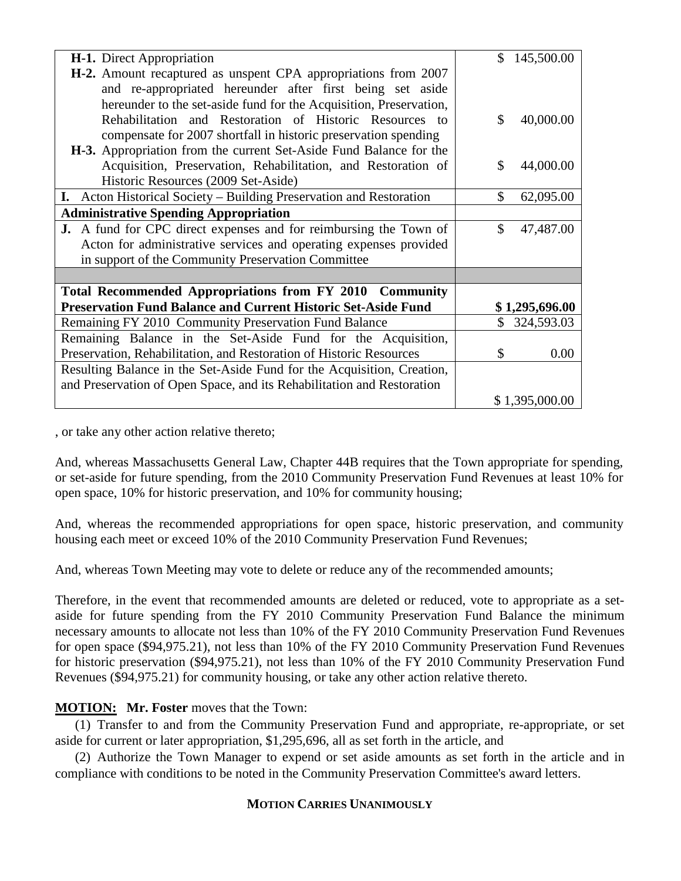| H-1. Direct Appropriation                                                | 145,500.00<br>\$ |
|--------------------------------------------------------------------------|------------------|
| <b>H-2.</b> Amount recaptured as unspent CPA appropriations from 2007    |                  |
| and re-appropriated hereunder after first being set aside                |                  |
| hereunder to the set-aside fund for the Acquisition, Preservation,       |                  |
| Rehabilitation and Restoration of Historic Resources to                  | \$<br>40,000.00  |
| compensate for 2007 shortfall in historic preservation spending          |                  |
| H-3. Appropriation from the current Set-Aside Fund Balance for the       |                  |
| Acquisition, Preservation, Rehabilitation, and Restoration of            | \$<br>44,000.00  |
| Historic Resources (2009 Set-Aside)                                      |                  |
|                                                                          |                  |
| I. Acton Historical Society – Building Preservation and Restoration      | \$<br>62,095.00  |
| <b>Administrative Spending Appropriation</b>                             |                  |
| <b>J.</b> A fund for CPC direct expenses and for reimbursing the Town of | \$<br>47,487.00  |
| Acton for administrative services and operating expenses provided        |                  |
| in support of the Community Preservation Committee                       |                  |
|                                                                          |                  |
| Total Recommended Appropriations from FY 2010 Community                  |                  |
| <b>Preservation Fund Balance and Current Historic Set-Aside Fund</b>     | \$1,295,696.00   |
| Remaining FY 2010 Community Preservation Fund Balance                    | \$<br>324,593.03 |
| Remaining Balance in the Set-Aside Fund for the Acquisition,             |                  |
| Preservation, Rehabilitation, and Restoration of Historic Resources      | \$<br>0.00       |
| Resulting Balance in the Set-Aside Fund for the Acquisition, Creation,   |                  |
| and Preservation of Open Space, and its Rehabilitation and Restoration   |                  |
|                                                                          | \$1,395,000.00   |

, or take any other action relative thereto;

And, whereas Massachusetts General Law, Chapter 44B requires that the Town appropriate for spending, or set-aside for future spending, from the 2010 Community Preservation Fund Revenues at least 10% for open space, 10% for historic preservation, and 10% for community housing;

And, whereas the recommended appropriations for open space, historic preservation, and community housing each meet or exceed 10% of the 2010 Community Preservation Fund Revenues;

And, whereas Town Meeting may vote to delete or reduce any of the recommended amounts;

Therefore, in the event that recommended amounts are deleted or reduced, vote to appropriate as a setaside for future spending from the FY 2010 Community Preservation Fund Balance the minimum necessary amounts to allocate not less than 10% of the FY 2010 Community Preservation Fund Revenues for open space (\$94,975.21), not less than 10% of the FY 2010 Community Preservation Fund Revenues for historic preservation (\$94,975.21), not less than 10% of the FY 2010 Community Preservation Fund Revenues (\$94,975.21) for community housing, or take any other action relative thereto.

## **MOTION: Mr. Foster** moves that the Town:

(1) Transfer to and from the Community Preservation Fund and appropriate, re-appropriate, or set aside for current or later appropriation, \$1,295,696, all as set forth in the article, and

(2) Authorize the Town Manager to expend or set aside amounts as set forth in the article and in compliance with conditions to be noted in the Community Preservation Committee's award letters.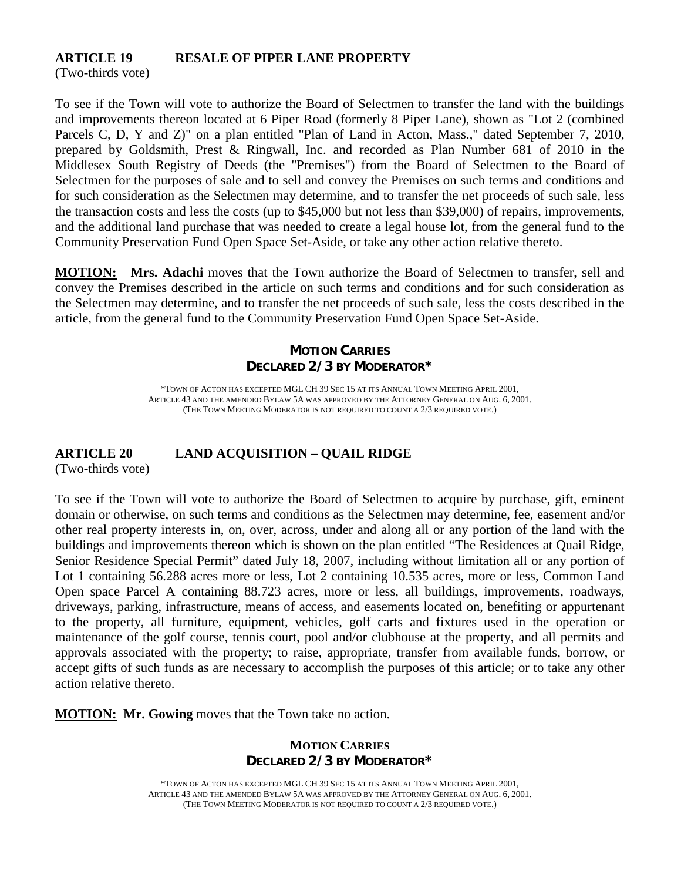#### **ARTICLE 19 RESALE OF PIPER LANE PROPERTY**

(Two-thirds vote)

To see if the Town will vote to authorize the Board of Selectmen to transfer the land with the buildings and improvements thereon located at 6 Piper Road (formerly 8 Piper Lane), shown as "Lot 2 (combined Parcels C, D, Y and Z)" on a plan entitled "Plan of Land in Acton, Mass.," dated September 7, 2010, prepared by Goldsmith, Prest & Ringwall, Inc. and recorded as Plan Number 681 of 2010 in the Middlesex South Registry of Deeds (the "Premises") from the Board of Selectmen to the Board of Selectmen for the purposes of sale and to sell and convey the Premises on such terms and conditions and for such consideration as the Selectmen may determine, and to transfer the net proceeds of such sale, less the transaction costs and less the costs (up to \$45,000 but not less than \$39,000) of repairs, improvements, and the additional land purchase that was needed to create a legal house lot, from the general fund to the Community Preservation Fund Open Space Set-Aside, or take any other action relative thereto.

**MOTION: Mrs. Adachi** moves that the Town authorize the Board of Selectmen to transfer, sell and convey the Premises described in the article on such terms and conditions and for such consideration as the Selectmen may determine, and to transfer the net proceeds of such sale, less the costs described in the article, from the general fund to the Community Preservation Fund Open Space Set-Aside.

## **MOTION CARRIES DECLARED 2/3 BY MODERATOR\***

\*TOWN OF ACTON HAS EXCEPTED MGL CH 39 SEC 15 AT ITS ANNUAL TOWN MEETING APRIL 2001, ARTICLE 43 AND THE AMENDED BYLAW 5A WAS APPROVED BY THE ATTORNEY GENERAL ON AUG. 6, 2001. (THE TOWN MEETING MODERATOR IS NOT REQUIRED TO COUNT A 2/3 REQUIRED VOTE.)

#### **ARTICLE 20 LAND ACQUISITION – QUAIL RIDGE**

(Two-thirds vote)

To see if the Town will vote to authorize the Board of Selectmen to acquire by purchase, gift, eminent domain or otherwise, on such terms and conditions as the Selectmen may determine, fee, easement and/or other real property interests in, on, over, across, under and along all or any portion of the land with the buildings and improvements thereon which is shown on the plan entitled "The Residences at Quail Ridge, Senior Residence Special Permit" dated July 18, 2007, including without limitation all or any portion of Lot 1 containing 56.288 acres more or less, Lot 2 containing 10.535 acres, more or less, Common Land Open space Parcel A containing 88.723 acres, more or less, all buildings, improvements, roadways, driveways, parking, infrastructure, means of access, and easements located on, benefiting or appurtenant to the property, all furniture, equipment, vehicles, golf carts and fixtures used in the operation or maintenance of the golf course, tennis court, pool and/or clubhouse at the property, and all permits and approvals associated with the property; to raise, appropriate, transfer from available funds, borrow, or accept gifts of such funds as are necessary to accomplish the purposes of this article; or to take any other action relative thereto.

**MOTION: Mr. Gowing** moves that the Town take no action.

#### **MOTION CARRIES DECLARED 2/3 BY MODERATOR\***

\*TOWN OF ACTON HAS EXCEPTED MGL CH 39 SEC 15 AT ITS ANNUAL TOWN MEETING APRIL 2001, ARTICLE 43 AND THE AMENDED BYLAW 5A WAS APPROVED BY THE ATTORNEY GENERAL ON AUG. 6, 2001. (THE TOWN MEETING MODERATOR IS NOT REQUIRED TO COUNT A 2/3 REQUIRED VOTE.)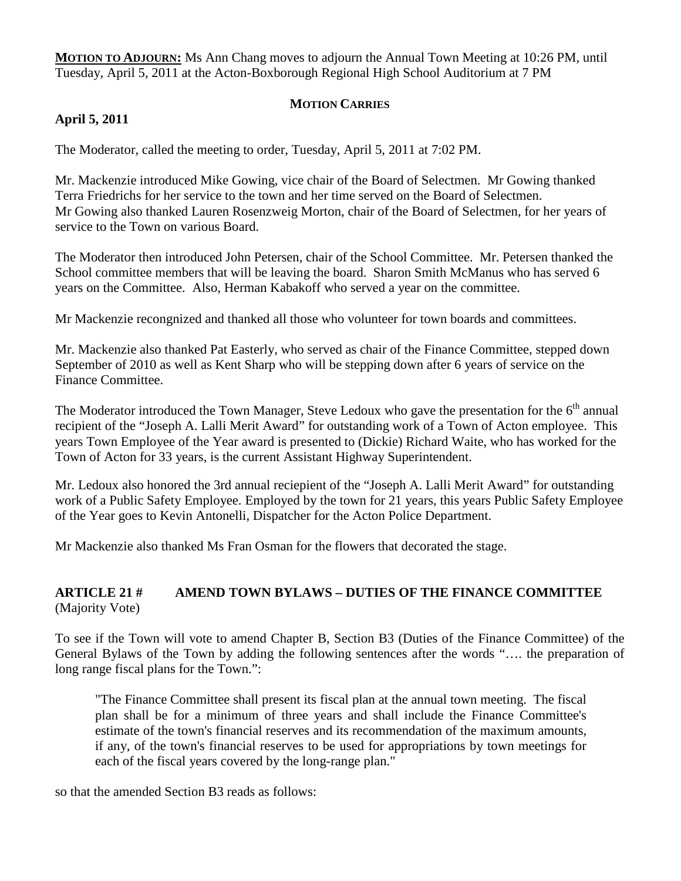**MOTION TO ADJOURN:** Ms Ann Chang moves to adjourn the Annual Town Meeting at 10:26 PM, until Tuesday, April 5, 2011 at the Acton-Boxborough Regional High School Auditorium at 7 PM

## **MOTION CARRIES**

## **April 5, 2011**

The Moderator, called the meeting to order, Tuesday, April 5, 2011 at 7:02 PM.

Mr. Mackenzie introduced Mike Gowing, vice chair of the Board of Selectmen. Mr Gowing thanked Terra Friedrichs for her service to the town and her time served on the Board of Selectmen. Mr Gowing also thanked Lauren Rosenzweig Morton, chair of the Board of Selectmen, for her years of service to the Town on various Board.

The Moderator then introduced John Petersen, chair of the School Committee. Mr. Petersen thanked the School committee members that will be leaving the board. Sharon Smith McManus who has served 6 years on the Committee. Also, Herman Kabakoff who served a year on the committee.

Mr Mackenzie recongnized and thanked all those who volunteer for town boards and committees.

Mr. Mackenzie also thanked Pat Easterly, who served as chair of the Finance Committee, stepped down September of 2010 as well as Kent Sharp who will be stepping down after 6 years of service on the Finance Committee.

The Moderator introduced the Town Manager, Steve Ledoux who gave the presentation for the  $6<sup>th</sup>$  annual recipient of the "Joseph A. Lalli Merit Award" for outstanding work of a Town of Acton employee. This years Town Employee of the Year award is presented to (Dickie) Richard Waite, who has worked for the Town of Acton for 33 years, is the current Assistant Highway Superintendent.

Mr. Ledoux also honored the 3rd annual reciepient of the "Joseph A. Lalli Merit Award" for outstanding work of a Public Safety Employee. Employed by the town for 21 years, this years Public Safety Employee of the Year goes to Kevin Antonelli, Dispatcher for the Acton Police Department.

Mr Mackenzie also thanked Ms Fran Osman for the flowers that decorated the stage.

#### **ARTICLE 21 # AMEND TOWN BYLAWS – DUTIES OF THE FINANCE COMMITTEE** (Majority Vote)

To see if the Town will vote to amend Chapter B, Section B3 (Duties of the Finance Committee) of the General Bylaws of the Town by adding the following sentences after the words "…. the preparation of long range fiscal plans for the Town.":

"The Finance Committee shall present its fiscal plan at the annual town meeting. The fiscal plan shall be for a minimum of three years and shall include the Finance Committee's estimate of the town's financial reserves and its recommendation of the maximum amounts, if any, of the town's financial reserves to be used for appropriations by town meetings for each of the fiscal years covered by the long-range plan."

so that the amended Section B3 reads as follows: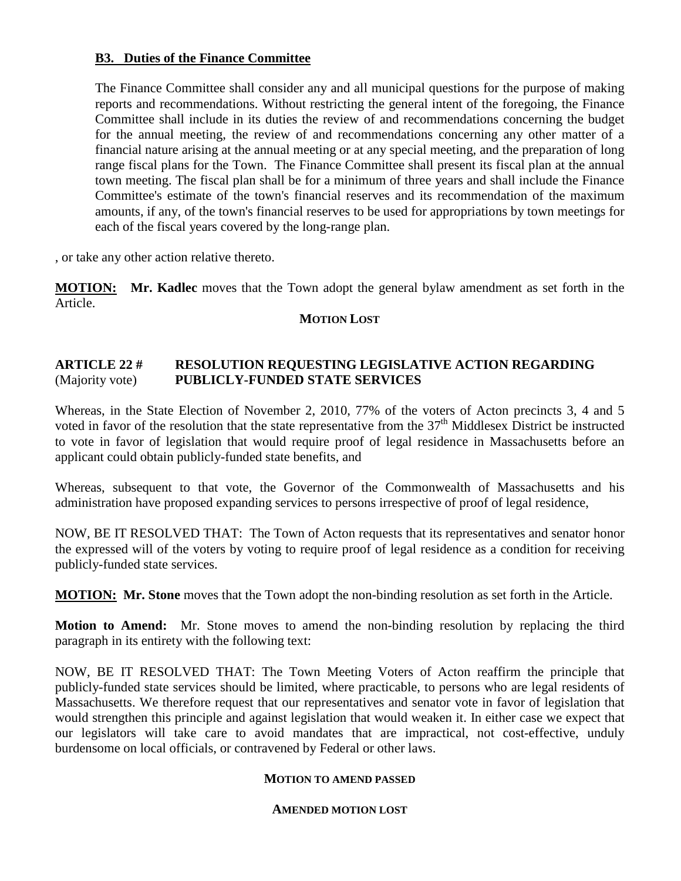#### **B3. Duties of the Finance Committee**

The Finance Committee shall consider any and all municipal questions for the purpose of making reports and recommendations. Without restricting the general intent of the foregoing, the Finance Committee shall include in its duties the review of and recommendations concerning the budget for the annual meeting, the review of and recommendations concerning any other matter of a financial nature arising at the annual meeting or at any special meeting, and the preparation of long range fiscal plans for the Town. The Finance Committee shall present its fiscal plan at the annual town meeting. The fiscal plan shall be for a minimum of three years and shall include the Finance Committee's estimate of the town's financial reserves and its recommendation of the maximum amounts, if any, of the town's financial reserves to be used for appropriations by town meetings for each of the fiscal years covered by the long-range plan.

, or take any other action relative thereto.

**MOTION: Mr. Kadlec** moves that the Town adopt the general bylaw amendment as set forth in the Article.

#### **MOTION LOST**

#### **ARTICLE 22 # RESOLUTION REQUESTING LEGISLATIVE ACTION REGARDING** (Majority vote) **PUBLICLY-FUNDED STATE SERVICES**

Whereas, in the State Election of November 2, 2010, 77% of the voters of Acton precincts 3, 4 and 5 voted in favor of the resolution that the state representative from the 37<sup>th</sup> Middlesex District be instructed to vote in favor of legislation that would require proof of legal residence in Massachusetts before an applicant could obtain publicly-funded state benefits, and

Whereas, subsequent to that vote, the Governor of the Commonwealth of Massachusetts and his administration have proposed expanding services to persons irrespective of proof of legal residence,

NOW, BE IT RESOLVED THAT: The Town of Acton requests that its representatives and senator honor the expressed will of the voters by voting to require proof of legal residence as a condition for receiving publicly-funded state services.

**MOTION: Mr. Stone** moves that the Town adopt the non-binding resolution as set forth in the Article.

**Motion to Amend:** Mr. Stone moves to amend the non-binding resolution by replacing the third paragraph in its entirety with the following text:

NOW, BE IT RESOLVED THAT: The Town Meeting Voters of Acton reaffirm the principle that publicly-funded state services should be limited, where practicable, to persons who are legal residents of Massachusetts. We therefore request that our representatives and senator vote in favor of legislation that would strengthen this principle and against legislation that would weaken it. In either case we expect that our legislators will take care to avoid mandates that are impractical, not cost-effective, unduly burdensome on local officials, or contravened by Federal or other laws.

#### **MOTION TO AMEND PASSED**

#### **AMENDED MOTION LOST**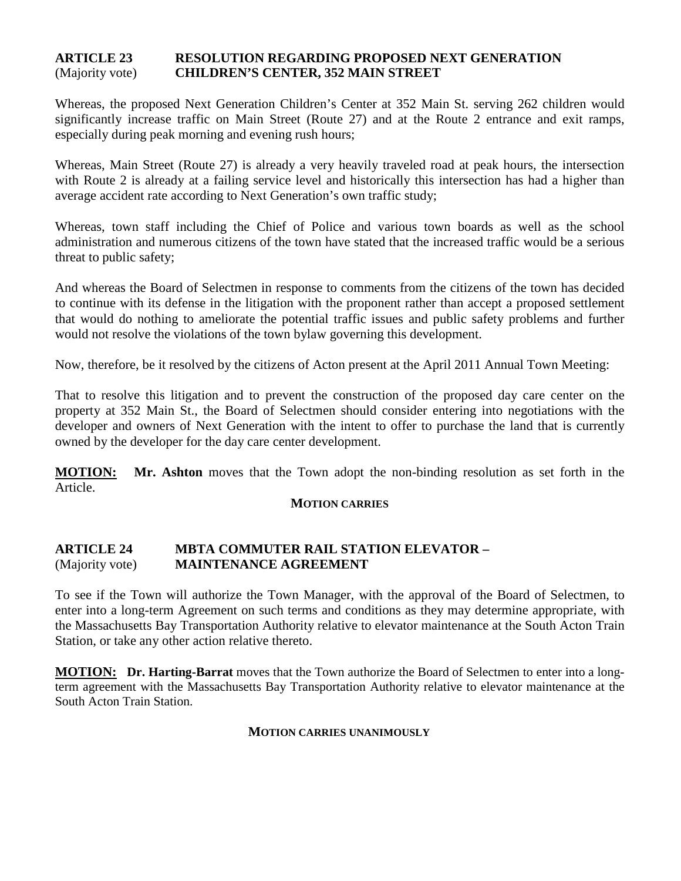#### **ARTICLE 23 RESOLUTION REGARDING PROPOSED NEXT GENERATION** (Majority vote) **CHILDREN'S CENTER, 352 MAIN STREET**

Whereas, the proposed Next Generation Children's Center at 352 Main St. serving 262 children would significantly increase traffic on Main Street (Route 27) and at the Route 2 entrance and exit ramps, especially during peak morning and evening rush hours;

Whereas, Main Street (Route 27) is already a very heavily traveled road at peak hours, the intersection with Route 2 is already at a failing service level and historically this intersection has had a higher than average accident rate according to Next Generation's own traffic study;

Whereas, town staff including the Chief of Police and various town boards as well as the school administration and numerous citizens of the town have stated that the increased traffic would be a serious threat to public safety;

And whereas the Board of Selectmen in response to comments from the citizens of the town has decided to continue with its defense in the litigation with the proponent rather than accept a proposed settlement that would do nothing to ameliorate the potential traffic issues and public safety problems and further would not resolve the violations of the town bylaw governing this development.

Now, therefore, be it resolved by the citizens of Acton present at the April 2011 Annual Town Meeting:

That to resolve this litigation and to prevent the construction of the proposed day care center on the property at 352 Main St., the Board of Selectmen should consider entering into negotiations with the developer and owners of Next Generation with the intent to offer to purchase the land that is currently owned by the developer for the day care center development.

**MOTION: Mr. Ashton** moves that the Town adopt the non-binding resolution as set forth in the Article.

#### **MOTION CARRIES**

#### **ARTICLE 24 MBTA COMMUTER RAIL STATION ELEVATOR –** (Majority vote) **MAINTENANCE AGREEMENT**

To see if the Town will authorize the Town Manager, with the approval of the Board of Selectmen, to enter into a long-term Agreement on such terms and conditions as they may determine appropriate, with the Massachusetts Bay Transportation Authority relative to elevator maintenance at the South Acton Train Station, or take any other action relative thereto.

**MOTION: Dr. Harting-Barrat** moves that the Town authorize the Board of Selectmen to enter into a longterm agreement with the Massachusetts Bay Transportation Authority relative to elevator maintenance at the South Acton Train Station.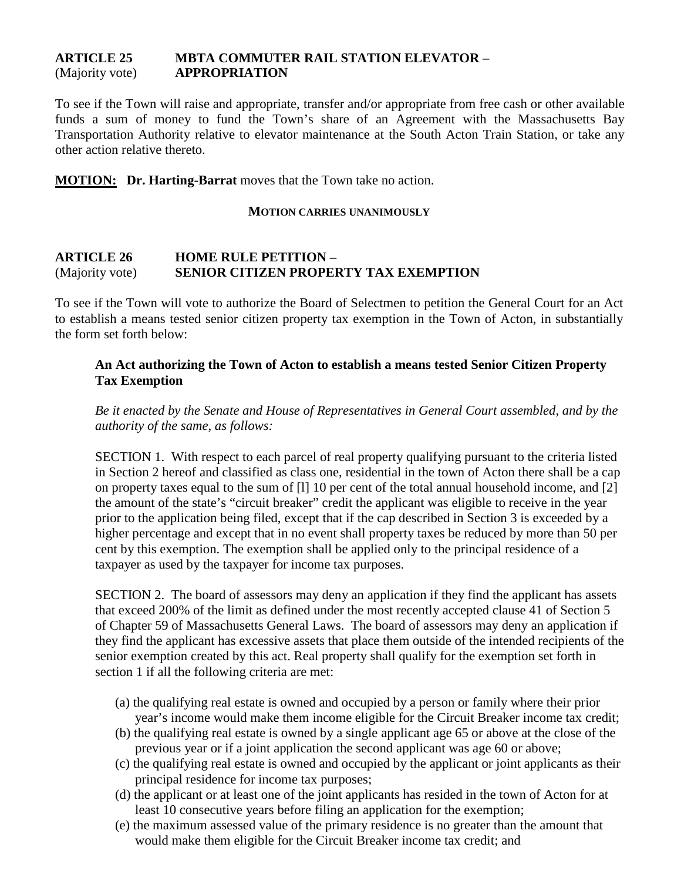#### **ARTICLE 25 MBTA COMMUTER RAIL STATION ELEVATOR –** (Majority vote) **APPROPRIATION**

To see if the Town will raise and appropriate, transfer and/or appropriate from free cash or other available funds a sum of money to fund the Town's share of an Agreement with the Massachusetts Bay Transportation Authority relative to elevator maintenance at the South Acton Train Station, or take any other action relative thereto.

**MOTION: Dr. Harting-Barrat** moves that the Town take no action.

#### **MOTION CARRIES UNANIMOUSLY**

#### **ARTICLE 26 HOME RULE PETITION –** (Majority vote) **SENIOR CITIZEN PROPERTY TAX EXEMPTION**

To see if the Town will vote to authorize the Board of Selectmen to petition the General Court for an Act to establish a means tested senior citizen property tax exemption in the Town of Acton, in substantially the form set forth below:

#### **An Act authorizing the Town of Acton to establish a means tested Senior Citizen Property Tax Exemption**

*Be it enacted by the Senate and House of Representatives in General Court assembled, and by the authority of the same, as follows:*

SECTION 1. With respect to each parcel of real property qualifying pursuant to the criteria listed in Section 2 hereof and classified as class one, residential in the town of Acton there shall be a cap on property taxes equal to the sum of [l] 10 per cent of the total annual household income, and [2] the amount of the state's "circuit breaker" credit the applicant was eligible to receive in the year prior to the application being filed, except that if the cap described in Section 3 is exceeded by a higher percentage and except that in no event shall property taxes be reduced by more than 50 per cent by this exemption. The exemption shall be applied only to the principal residence of a taxpayer as used by the taxpayer for income tax purposes.

SECTION 2. The board of assessors may deny an application if they find the applicant has assets that exceed 200% of the limit as defined under the most recently accepted clause 41 of Section 5 of Chapter 59 of Massachusetts General Laws. The board of assessors may deny an application if they find the applicant has excessive assets that place them outside of the intended recipients of the senior exemption created by this act. Real property shall qualify for the exemption set forth in section 1 if all the following criteria are met:

- (a) the qualifying real estate is owned and occupied by a person or family where their prior year's income would make them income eligible for the Circuit Breaker income tax credit;
- (b) the qualifying real estate is owned by a single applicant age 65 or above at the close of the previous year or if a joint application the second applicant was age 60 or above;
- (c) the qualifying real estate is owned and occupied by the applicant or joint applicants as their principal residence for income tax purposes;
- (d) the applicant or at least one of the joint applicants has resided in the town of Acton for at least 10 consecutive years before filing an application for the exemption;
- (e) the maximum assessed value of the primary residence is no greater than the amount that would make them eligible for the Circuit Breaker income tax credit; and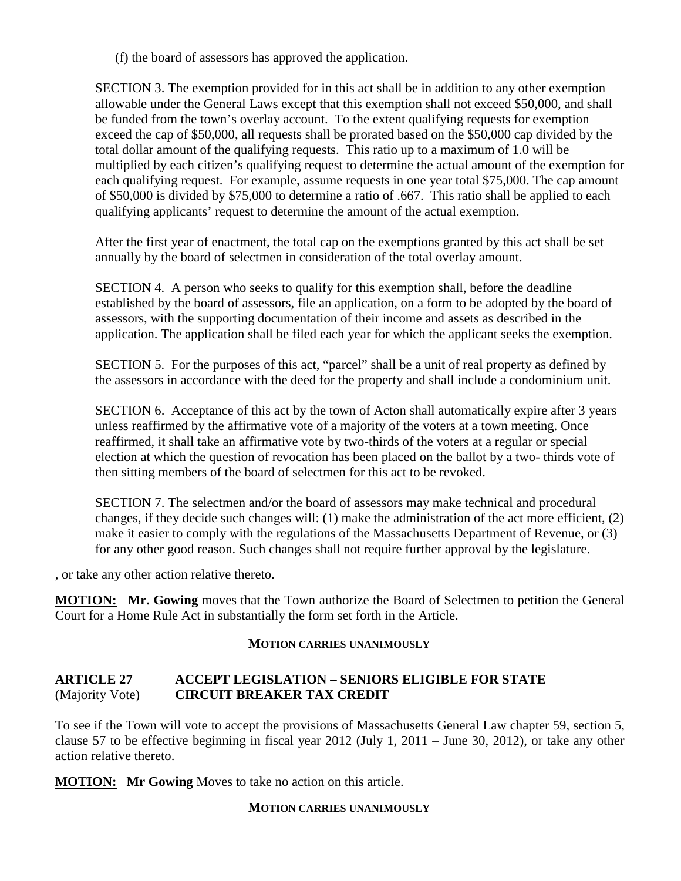(f) the board of assessors has approved the application.

SECTION 3. The exemption provided for in this act shall be in addition to any other exemption allowable under the General Laws except that this exemption shall not exceed \$50,000, and shall be funded from the town's overlay account. To the extent qualifying requests for exemption exceed the cap of \$50,000, all requests shall be prorated based on the \$50,000 cap divided by the total dollar amount of the qualifying requests. This ratio up to a maximum of 1.0 will be multiplied by each citizen's qualifying request to determine the actual amount of the exemption for each qualifying request. For example, assume requests in one year total \$75,000. The cap amount of \$50,000 is divided by \$75,000 to determine a ratio of .667. This ratio shall be applied to each qualifying applicants' request to determine the amount of the actual exemption.

After the first year of enactment, the total cap on the exemptions granted by this act shall be set annually by the board of selectmen in consideration of the total overlay amount.

SECTION 4. A person who seeks to qualify for this exemption shall, before the deadline established by the board of assessors, file an application, on a form to be adopted by the board of assessors, with the supporting documentation of their income and assets as described in the application. The application shall be filed each year for which the applicant seeks the exemption.

SECTION 5. For the purposes of this act, "parcel" shall be a unit of real property as defined by the assessors in accordance with the deed for the property and shall include a condominium unit.

SECTION 6. Acceptance of this act by the town of Acton shall automatically expire after 3 years unless reaffirmed by the affirmative vote of a majority of the voters at a town meeting. Once reaffirmed, it shall take an affirmative vote by two-thirds of the voters at a regular or special election at which the question of revocation has been placed on the ballot by a two- thirds vote of then sitting members of the board of selectmen for this act to be revoked.

SECTION 7. The selectmen and/or the board of assessors may make technical and procedural changes, if they decide such changes will: (1) make the administration of the act more efficient, (2) make it easier to comply with the regulations of the Massachusetts Department of Revenue, or (3) for any other good reason. Such changes shall not require further approval by the legislature.

, or take any other action relative thereto.

**MOTION: Mr. Gowing** moves that the Town authorize the Board of Selectmen to petition the General Court for a Home Rule Act in substantially the form set forth in the Article.

#### **MOTION CARRIES UNANIMOUSLY**

#### **ARTICLE 27 ACCEPT LEGISLATION – SENIORS ELIGIBLE FOR STATE**  (Majority Vote) **CIRCUIT BREAKER TAX CREDIT**

To see if the Town will vote to accept the provisions of Massachusetts General Law chapter 59, section 5, clause 57 to be effective beginning in fiscal year 2012 (July 1, 2011 – June 30, 2012), or take any other action relative thereto.

**MOTION: Mr Gowing** Moves to take no action on this article.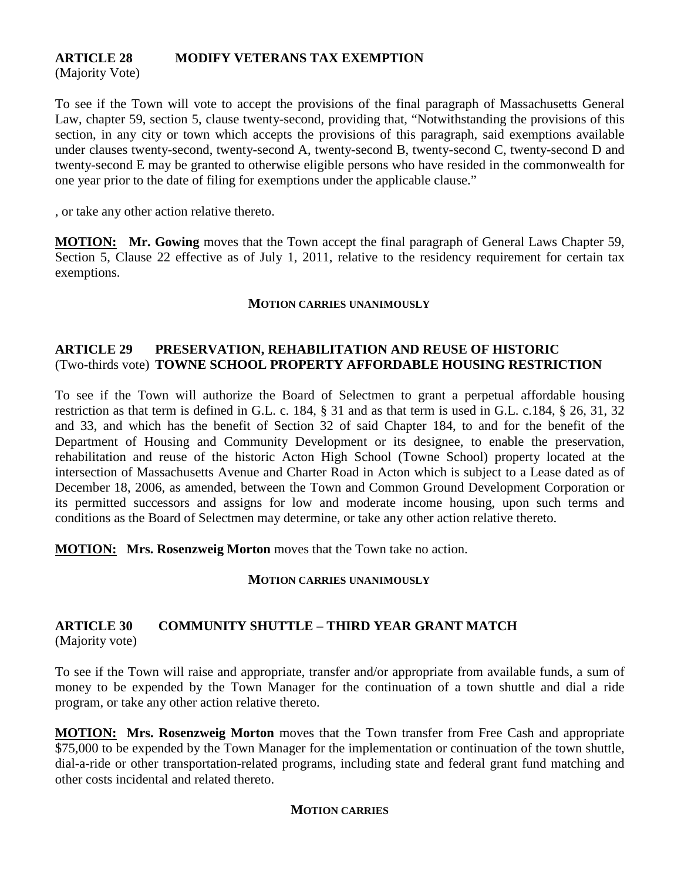# **ARTICLE 28 MODIFY VETERANS TAX EXEMPTION**

(Majority Vote)

To see if the Town will vote to accept the provisions of the final paragraph of Massachusetts General Law, chapter 59, section 5, clause twenty-second, providing that, "Notwithstanding the provisions of this section, in any city or town which accepts the provisions of this paragraph, said exemptions available under clauses twenty-second, twenty-second A, twenty-second B, twenty-second C, twenty-second D and twenty-second E may be granted to otherwise eligible persons who have resided in the commonwealth for one year prior to the date of filing for exemptions under the applicable clause."

, or take any other action relative thereto.

**MOTION: Mr. Gowing** moves that the Town accept the final paragraph of General Laws Chapter 59, Section 5, Clause 22 effective as of July 1, 2011, relative to the residency requirement for certain tax exemptions.

#### **MOTION CARRIES UNANIMOUSLY**

#### **ARTICLE 29 PRESERVATION, REHABILITATION AND REUSE OF HISTORIC** (Two-thirds vote) **TOWNE SCHOOL PROPERTY AFFORDABLE HOUSING RESTRICTION**

To see if the Town will authorize the Board of Selectmen to grant a perpetual affordable housing restriction as that term is defined in G.L. c. 184, § 31 and as that term is used in G.L. c.184, § 26, 31, 32 and 33, and which has the benefit of Section 32 of said Chapter 184, to and for the benefit of the Department of Housing and Community Development or its designee, to enable the preservation, rehabilitation and reuse of the historic Acton High School (Towne School) property located at the intersection of Massachusetts Avenue and Charter Road in Acton which is subject to a Lease dated as of December 18, 2006, as amended, between the Town and Common Ground Development Corporation or its permitted successors and assigns for low and moderate income housing, upon such terms and conditions as the Board of Selectmen may determine, or take any other action relative thereto.

**MOTION: Mrs. Rosenzweig Morton** moves that the Town take no action.

#### **MOTION CARRIES UNANIMOUSLY**

#### **ARTICLE 30 COMMUNITY SHUTTLE – THIRD YEAR GRANT MATCH** (Majority vote)

To see if the Town will raise and appropriate, transfer and/or appropriate from available funds, a sum of money to be expended by the Town Manager for the continuation of a town shuttle and dial a ride program, or take any other action relative thereto.

**MOTION: Mrs. Rosenzweig Morton** moves that the Town transfer from Free Cash and appropriate \$75,000 to be expended by the Town Manager for the implementation or continuation of the town shuttle, dial-a-ride or other transportation-related programs, including state and federal grant fund matching and other costs incidental and related thereto.

#### **MOTION CARRIES**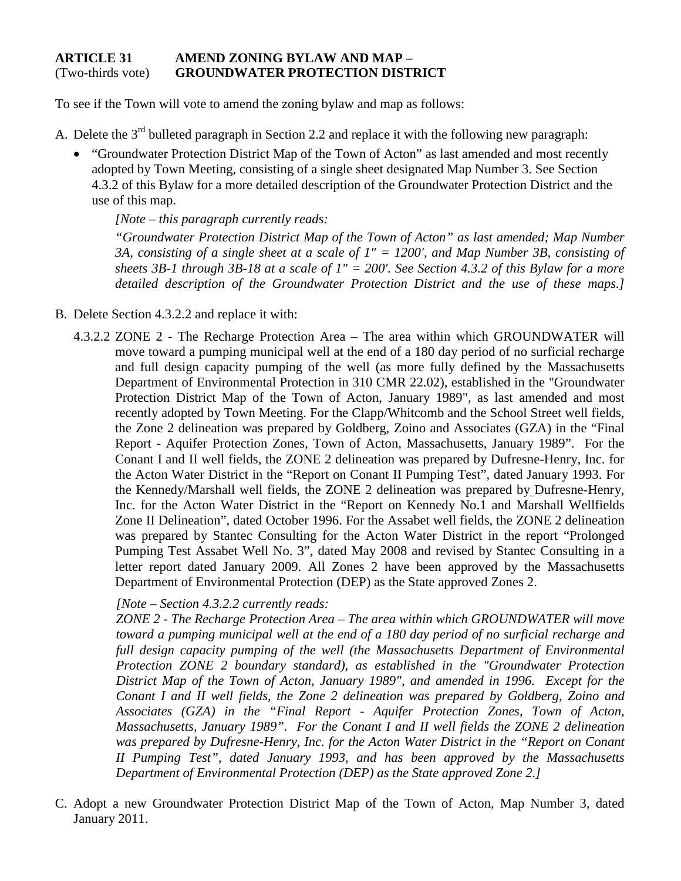#### **ARTICLE 31 AMEND ZONING BYLAW AND MAP –** (Two-thirds vote) **GROUNDWATER PROTECTION DISTRICT**

To see if the Town will vote to amend the zoning bylaw and map as follows:

- A. Delete the 3<sup>rd</sup> bulleted paragraph in Section 2.2 and replace it with the following new paragraph:
	- "Groundwater Protection District Map of the Town of Acton" as last amended and most recently adopted by Town Meeting, consisting of a single sheet designated Map Number 3. See Section 4.3.2 of this Bylaw for a more detailed description of the Groundwater Protection District and the use of this map.

*[Note – this paragraph currently reads:*

*"Groundwater Protection District Map of the Town of Acton" as last amended; Map Number 3A, consisting of a single sheet at a scale of 1" = 1200', and Map Number 3B, consisting of sheets 3B-1 through 3B-18 at a scale of 1" = 200'. See Section 4.3.2 of this Bylaw for a more detailed description of the Groundwater Protection District and the use of these maps.]*

- B. Delete Section 4.3.2.2 and replace it with:
	- 4.3.2.2 ZONE 2 The Recharge Protection Area The area within which GROUNDWATER will move toward a pumping municipal well at the end of a 180 day period of no surficial recharge and full design capacity pumping of the well (as more fully defined by the Massachusetts Department of Environmental Protection in 310 CMR 22.02), established in the "Groundwater Protection District Map of the Town of Acton, January 1989", as last amended and most recently adopted by Town Meeting. For the Clapp/Whitcomb and the School Street well fields, the Zone 2 delineation was prepared by Goldberg, Zoino and Associates (GZA) in the "Final Report - Aquifer Protection Zones, Town of Acton, Massachusetts, January 1989". For the Conant I and II well fields, the ZONE 2 delineation was prepared by Dufresne-Henry, Inc. for the Acton Water District in the "Report on Conant II Pumping Test", dated January 1993. For the Kennedy/Marshall well fields, the ZONE 2 delineation was prepared by Dufresne-Henry, Inc. for the Acton Water District in the "Report on Kennedy No.1 and Marshall Wellfields Zone II Delineation", dated October 1996. For the Assabet well fields, the ZONE 2 delineation was prepared by Stantec Consulting for the Acton Water District in the report "Prolonged Pumping Test Assabet Well No. 3", dated May 2008 and revised by Stantec Consulting in a letter report dated January 2009. All Zones 2 have been approved by the Massachusetts Department of Environmental Protection (DEP) as the State approved Zones 2.

*[Note – Section 4.3.2.2 currently reads:*

*ZONE 2 - The Recharge Protection Area – The area within which GROUNDWATER will move toward a pumping municipal well at the end of a 180 day period of no surficial recharge and full design capacity pumping of the well (the Massachusetts Department of Environmental Protection ZONE 2 boundary standard), as established in the "Groundwater Protection District Map of the Town of Acton, January 1989", and amended in 1996. Except for the Conant I and II well fields, the Zone 2 delineation was prepared by Goldberg, Zoino and Associates (GZA) in the "Final Report - Aquifer Protection Zones, Town of Acton, Massachusetts, January 1989". For the Conant I and II well fields the ZONE 2 delineation was prepared by Dufresne-Henry, Inc. for the Acton Water District in the "Report on Conant II Pumping Test", dated January 1993, and has been approved by the Massachusetts Department of Environmental Protection (DEP) as the State approved Zone 2.]*

C. Adopt a new Groundwater Protection District Map of the Town of Acton, Map Number 3, dated January 2011.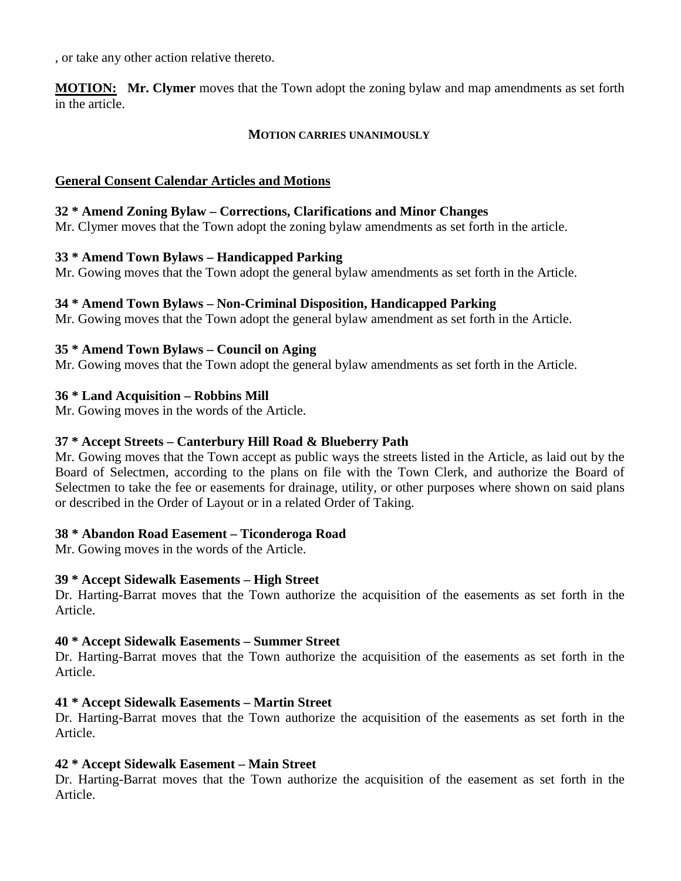, or take any other action relative thereto.

**MOTION: Mr. Clymer** moves that the Town adopt the zoning bylaw and map amendments as set forth in the article.

#### **MOTION CARRIES UNANIMOUSLY**

#### **General Consent Calendar Articles and Motions**

#### **32 \* Amend Zoning Bylaw – Corrections, Clarifications and Minor Changes**

Mr. Clymer moves that the Town adopt the zoning bylaw amendments as set forth in the article.

#### **33 \* Amend Town Bylaws – Handicapped Parking**

Mr. Gowing moves that the Town adopt the general bylaw amendments as set forth in the Article.

#### **34 \* Amend Town Bylaws – Non-Criminal Disposition, Handicapped Parking**

Mr. Gowing moves that the Town adopt the general bylaw amendment as set forth in the Article.

#### **35 \* Amend Town Bylaws – Council on Aging**

Mr. Gowing moves that the Town adopt the general bylaw amendments as set forth in the Article.

#### **36 \* Land Acquisition – Robbins Mill**

Mr. Gowing moves in the words of the Article.

#### **37 \* Accept Streets – Canterbury Hill Road & Blueberry Path**

Mr. Gowing moves that the Town accept as public ways the streets listed in the Article, as laid out by the Board of Selectmen, according to the plans on file with the Town Clerk, and authorize the Board of Selectmen to take the fee or easements for drainage, utility, or other purposes where shown on said plans or described in the Order of Layout or in a related Order of Taking.

#### **38 \* Abandon Road Easement – Ticonderoga Road**

Mr. Gowing moves in the words of the Article.

#### **39 \* Accept Sidewalk Easements – High Street**

Dr. Harting-Barrat moves that the Town authorize the acquisition of the easements as set forth in the Article.

#### **40 \* Accept Sidewalk Easements – Summer Street**

Dr. Harting-Barrat moves that the Town authorize the acquisition of the easements as set forth in the Article.

#### **41 \* Accept Sidewalk Easements – Martin Street**

Dr. Harting-Barrat moves that the Town authorize the acquisition of the easements as set forth in the Article.

#### **42 \* Accept Sidewalk Easement – Main Street**

Dr. Harting-Barrat moves that the Town authorize the acquisition of the easement as set forth in the Article.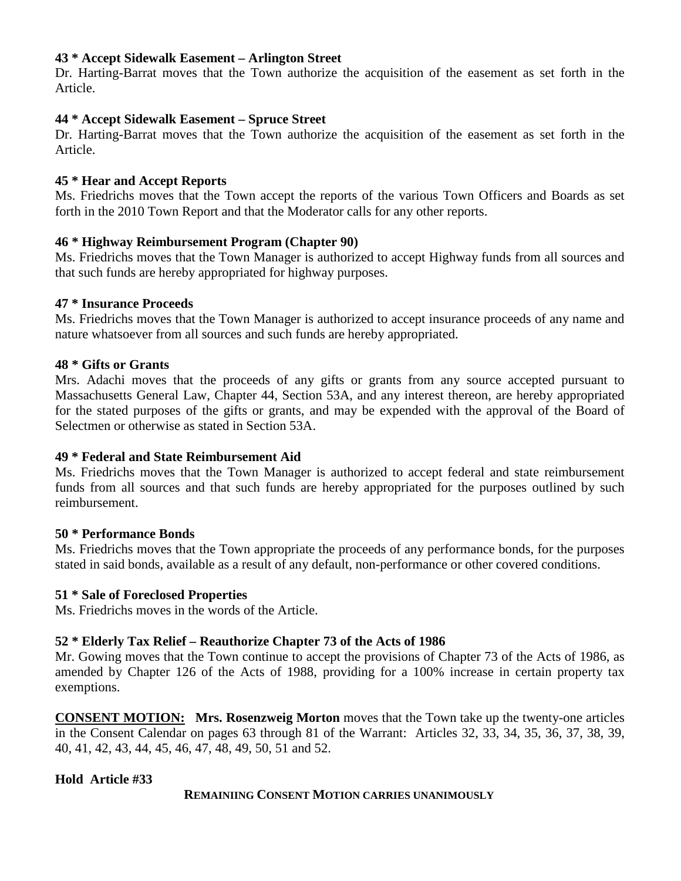#### **43 \* Accept Sidewalk Easement – Arlington Street**

Dr. Harting-Barrat moves that the Town authorize the acquisition of the easement as set forth in the Article.

#### **44 \* Accept Sidewalk Easement – Spruce Street**

Dr. Harting-Barrat moves that the Town authorize the acquisition of the easement as set forth in the Article.

#### **45 \* Hear and Accept Reports**

Ms. Friedrichs moves that the Town accept the reports of the various Town Officers and Boards as set forth in the 2010 Town Report and that the Moderator calls for any other reports.

#### **46 \* Highway Reimbursement Program (Chapter 90)**

Ms. Friedrichs moves that the Town Manager is authorized to accept Highway funds from all sources and that such funds are hereby appropriated for highway purposes.

#### **47 \* Insurance Proceeds**

Ms. Friedrichs moves that the Town Manager is authorized to accept insurance proceeds of any name and nature whatsoever from all sources and such funds are hereby appropriated.

#### **48 \* Gifts or Grants**

Mrs. Adachi moves that the proceeds of any gifts or grants from any source accepted pursuant to Massachusetts General Law, Chapter 44, Section 53A, and any interest thereon, are hereby appropriated for the stated purposes of the gifts or grants, and may be expended with the approval of the Board of Selectmen or otherwise as stated in Section 53A.

#### **49 \* Federal and State Reimbursement Aid**

Ms. Friedrichs moves that the Town Manager is authorized to accept federal and state reimbursement funds from all sources and that such funds are hereby appropriated for the purposes outlined by such reimbursement.

#### **50 \* Performance Bonds**

Ms. Friedrichs moves that the Town appropriate the proceeds of any performance bonds, for the purposes stated in said bonds, available as a result of any default, non-performance or other covered conditions.

#### **51 \* Sale of Foreclosed Properties**

Ms. Friedrichs moves in the words of the Article.

#### **52 \* Elderly Tax Relief – Reauthorize Chapter 73 of the Acts of 1986**

Mr. Gowing moves that the Town continue to accept the provisions of Chapter 73 of the Acts of 1986, as amended by Chapter 126 of the Acts of 1988, providing for a 100% increase in certain property tax exemptions.

**CONSENT MOTION: Mrs. Rosenzweig Morton** moves that the Town take up the twenty-one articles in the Consent Calendar on pages 63 through 81 of the Warrant: Articles 32, 33, 34, 35, 36, 37, 38, 39, 40, 41, 42, 43, 44, 45, 46, 47, 48, 49, 50, 51 and 52.

#### **Hold Article #33**

#### **REMAINIING CONSENT MOTION CARRIES UNANIMOUSLY**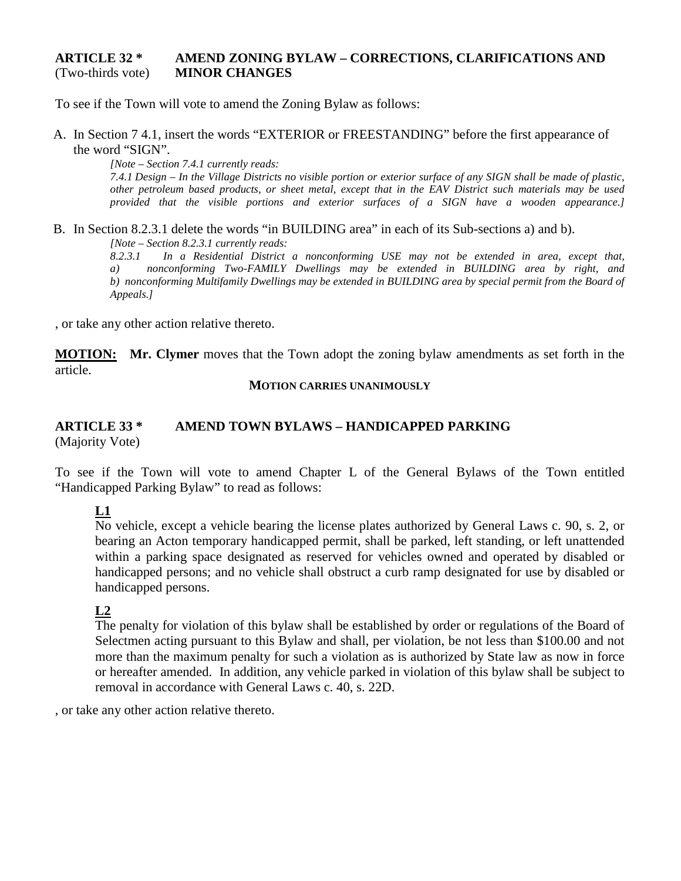#### **ARTICLE 32 \* AMEND ZONING BYLAW – CORRECTIONS, CLARIFICATIONS AND** (Two-thirds vote) **MINOR CHANGES**

To see if the Town will vote to amend the Zoning Bylaw as follows:

A. In Section 7 4.1, insert the words "EXTERIOR or FREESTANDING" before the first appearance of the word "SIGN".

*[Note – Section 7.4.1 currently reads: 7.4.1 Design – In the Village Districts no visible portion or exterior surface of any SIGN shall be made of plastic, other petroleum based products, or sheet metal, except that in the EAV District such materials may be used provided that the visible portions and exterior surfaces of a SIGN have a wooden appearance.]*

B. In Section 8.2.3.1 delete the words "in BUILDING area" in each of its Sub-sections a) and b). *[Note – Section 8.2.3.1 currently reads:*

*8.2.3.1 In a Residential District a nonconforming USE may not be extended in area, except that, a) nonconforming Two-FAMILY Dwellings may be extended in BUILDING area by right, and b) nonconforming Multifamily Dwellings may be extended in BUILDING area by special permit from the Board of Appeals.]*

, or take any other action relative thereto.

**MOTION: Mr. Clymer** moves that the Town adopt the zoning bylaw amendments as set forth in the article.

#### **MOTION CARRIES UNANIMOUSLY**

#### **ARTICLE 33 \* AMEND TOWN BYLAWS – HANDICAPPED PARKING** (Majority Vote)

To see if the Town will vote to amend Chapter L of the General Bylaws of the Town entitled "Handicapped Parking Bylaw" to read as follows:

## **L1**

No vehicle, except a vehicle bearing the license plates authorized by General Laws c. 90, s. 2, or bearing an Acton temporary handicapped permit, shall be parked, left standing, or left unattended within a parking space designated as reserved for vehicles owned and operated by disabled or handicapped persons; and no vehicle shall obstruct a curb ramp designated for use by disabled or handicapped persons.

#### **L2**

The penalty for violation of this bylaw shall be established by order or regulations of the Board of Selectmen acting pursuant to this Bylaw and shall, per violation, be not less than \$100.00 and not more than the maximum penalty for such a violation as is authorized by State law as now in force or hereafter amended. In addition, any vehicle parked in violation of this bylaw shall be subject to removal in accordance with General Laws c. 40, s. 22D.

, or take any other action relative thereto.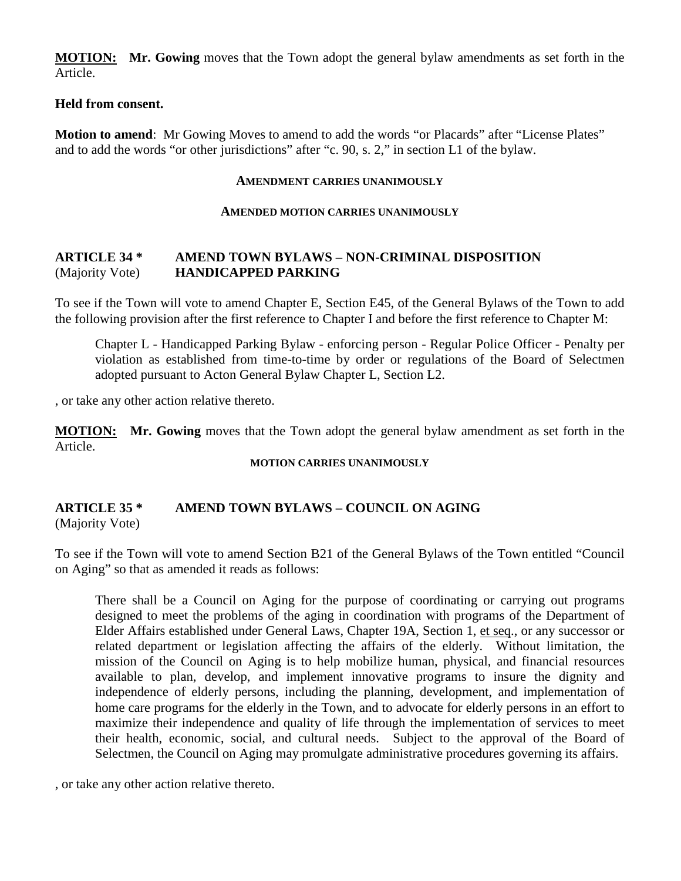**MOTION: Mr. Gowing** moves that the Town adopt the general bylaw amendments as set forth in the Article.

#### **Held from consent.**

**Motion to amend**: Mr Gowing Moves to amend to add the words "or Placards" after "License Plates" and to add the words "or other jurisdictions" after "c. 90, s. 2," in section L1 of the bylaw.

#### **AMENDMENT CARRIES UNANIMOUSLY**

#### **AMENDED MOTION CARRIES UNANIMOUSLY**

#### **ARTICLE 34 \* AMEND TOWN BYLAWS – NON-CRIMINAL DISPOSITION** (Majority Vote) **HANDICAPPED PARKING**

To see if the Town will vote to amend Chapter E, Section E45, of the General Bylaws of the Town to add the following provision after the first reference to Chapter I and before the first reference to Chapter M:

Chapter L - Handicapped Parking Bylaw - enforcing person - Regular Police Officer - Penalty per violation as established from time-to-time by order or regulations of the Board of Selectmen adopted pursuant to Acton General Bylaw Chapter L, Section L2.

, or take any other action relative thereto.

**MOTION: Mr. Gowing** moves that the Town adopt the general bylaw amendment as set forth in the Article.

#### **MOTION CARRIES UNANIMOUSLY**

#### **ARTICLE 35 \* AMEND TOWN BYLAWS – COUNCIL ON AGING** (Majority Vote)

To see if the Town will vote to amend Section B21 of the General Bylaws of the Town entitled "Council on Aging" so that as amended it reads as follows:

There shall be a Council on Aging for the purpose of coordinating or carrying out programs designed to meet the problems of the aging in coordination with programs of the Department of Elder Affairs established under General Laws, Chapter 19A, Section 1, et seq., or any successor or related department or legislation affecting the affairs of the elderly. Without limitation, the mission of the Council on Aging is to help mobilize human, physical, and financial resources available to plan, develop, and implement innovative programs to insure the dignity and independence of elderly persons, including the planning, development, and implementation of home care programs for the elderly in the Town, and to advocate for elderly persons in an effort to maximize their independence and quality of life through the implementation of services to meet their health, economic, social, and cultural needs. Subject to the approval of the Board of Selectmen, the Council on Aging may promulgate administrative procedures governing its affairs.

, or take any other action relative thereto.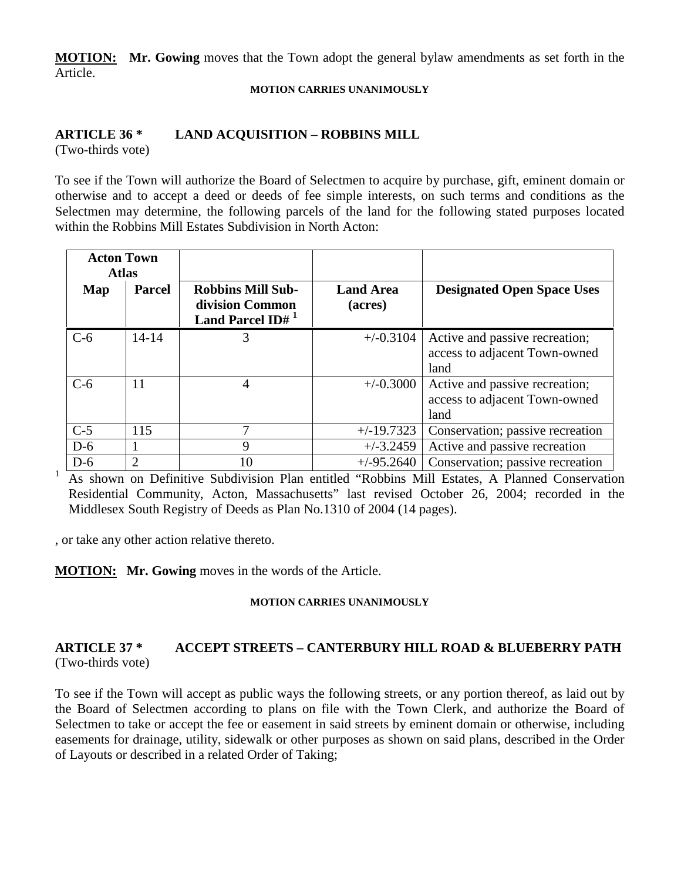**MOTION: Mr. Gowing** moves that the Town adopt the general bylaw amendments as set forth in the Article.

#### **MOTION CARRIES UNANIMOUSLY**

## **ARTICLE 36 \* LAND ACQUISITION – ROBBINS MILL**

(Two-thirds vote)

To see if the Town will authorize the Board of Selectmen to acquire by purchase, gift, eminent domain or otherwise and to accept a deed or deeds of fee simple interests, on such terms and conditions as the Selectmen may determine, the following parcels of the land for the following stated purposes located within the Robbins Mill Estates Subdivision in North Acton:

| <b>Acton Town</b><br><b>Atlas</b> |                |                                                                             |                             |                                                                         |
|-----------------------------------|----------------|-----------------------------------------------------------------------------|-----------------------------|-------------------------------------------------------------------------|
| Map                               | <b>Parcel</b>  | <b>Robbins Mill Sub-</b><br>division Common<br>Land Parcel ID# <sup>1</sup> | <b>Land Area</b><br>(acres) | <b>Designated Open Space Uses</b>                                       |
| $C-6$                             | $14 - 14$      | 3                                                                           | $+/-0.3104$                 | Active and passive recreation;<br>access to adjacent Town-owned<br>land |
| $C-6$                             | 11             | 4                                                                           | $+/-0.3000$                 | Active and passive recreation;<br>access to adjacent Town-owned<br>land |
| $C-5$                             | 115            | 7                                                                           | $+/-19.7323$                | Conservation; passive recreation                                        |
| $D-6$                             |                | 9                                                                           | $+/-3.2459$                 | Active and passive recreation                                           |
| $D-6$                             | $\overline{2}$ | 10                                                                          | $+/-95.2640$                | Conservation; passive recreation                                        |

<sup>1</sup> As shown on Definitive Subdivision Plan entitled "Robbins Mill Estates, A Planned Conservation Residential Community, Acton, Massachusetts" last revised October 26, 2004; recorded in the Middlesex South Registry of Deeds as Plan No.1310 of 2004 (14 pages).

, or take any other action relative thereto.

**MOTION: Mr. Gowing** moves in the words of the Article.

#### **MOTION CARRIES UNANIMOUSLY**

#### **ARTICLE 37 \* ACCEPT STREETS – CANTERBURY HILL ROAD & BLUEBERRY PATH** (Two-thirds vote)

To see if the Town will accept as public ways the following streets, or any portion thereof, as laid out by the Board of Selectmen according to plans on file with the Town Clerk, and authorize the Board of Selectmen to take or accept the fee or easement in said streets by eminent domain or otherwise, including easements for drainage, utility, sidewalk or other purposes as shown on said plans, described in the Order of Layouts or described in a related Order of Taking;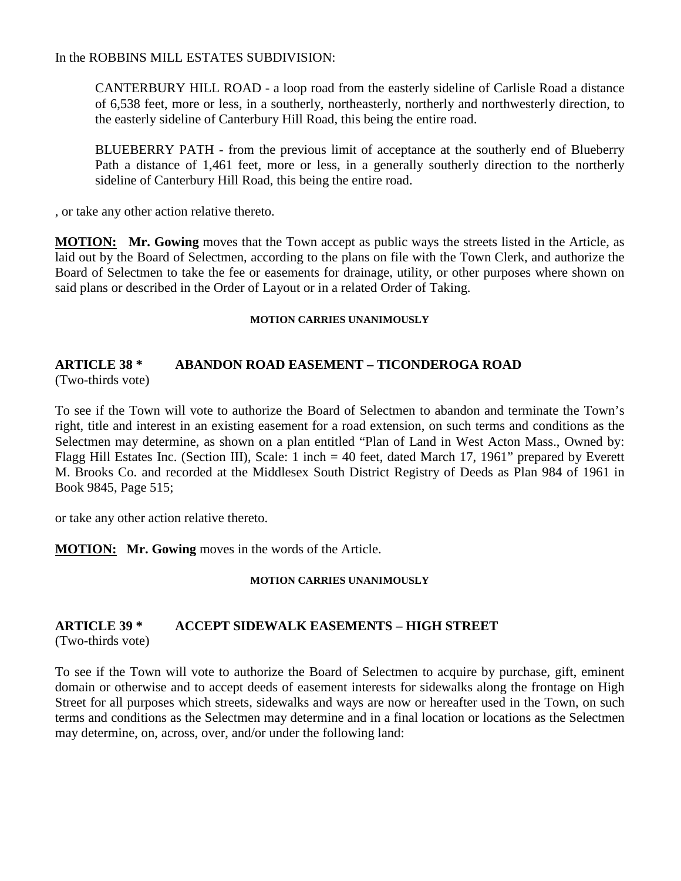#### In the ROBBINS MILL ESTATES SUBDIVISION:

CANTERBURY HILL ROAD - a loop road from the easterly sideline of Carlisle Road a distance of 6,538 feet, more or less, in a southerly, northeasterly, northerly and northwesterly direction, to the easterly sideline of Canterbury Hill Road, this being the entire road.

BLUEBERRY PATH - from the previous limit of acceptance at the southerly end of Blueberry Path a distance of 1,461 feet, more or less, in a generally southerly direction to the northerly sideline of Canterbury Hill Road, this being the entire road.

, or take any other action relative thereto.

**MOTION: Mr. Gowing** moves that the Town accept as public ways the streets listed in the Article, as laid out by the Board of Selectmen, according to the plans on file with the Town Clerk, and authorize the Board of Selectmen to take the fee or easements for drainage, utility, or other purposes where shown on said plans or described in the Order of Layout or in a related Order of Taking.

#### **MOTION CARRIES UNANIMOUSLY**

#### **ARTICLE 38 \* ABANDON ROAD EASEMENT – TICONDEROGA ROAD** (Two-thirds vote)

To see if the Town will vote to authorize the Board of Selectmen to abandon and terminate the Town's right, title and interest in an existing easement for a road extension, on such terms and conditions as the Selectmen may determine, as shown on a plan entitled "Plan of Land in West Acton Mass., Owned by: Flagg Hill Estates Inc. (Section III), Scale: 1 inch = 40 feet, dated March 17, 1961" prepared by Everett M. Brooks Co. and recorded at the Middlesex South District Registry of Deeds as Plan 984 of 1961 in Book 9845, Page 515;

or take any other action relative thereto.

**MOTION: Mr. Gowing** moves in the words of the Article.

#### **MOTION CARRIES UNANIMOUSLY**

# **ARTICLE 39 \* ACCEPT SIDEWALK EASEMENTS – HIGH STREET**

(Two-thirds vote)

To see if the Town will vote to authorize the Board of Selectmen to acquire by purchase, gift, eminent domain or otherwise and to accept deeds of easement interests for sidewalks along the frontage on High Street for all purposes which streets, sidewalks and ways are now or hereafter used in the Town, on such terms and conditions as the Selectmen may determine and in a final location or locations as the Selectmen may determine, on, across, over, and/or under the following land: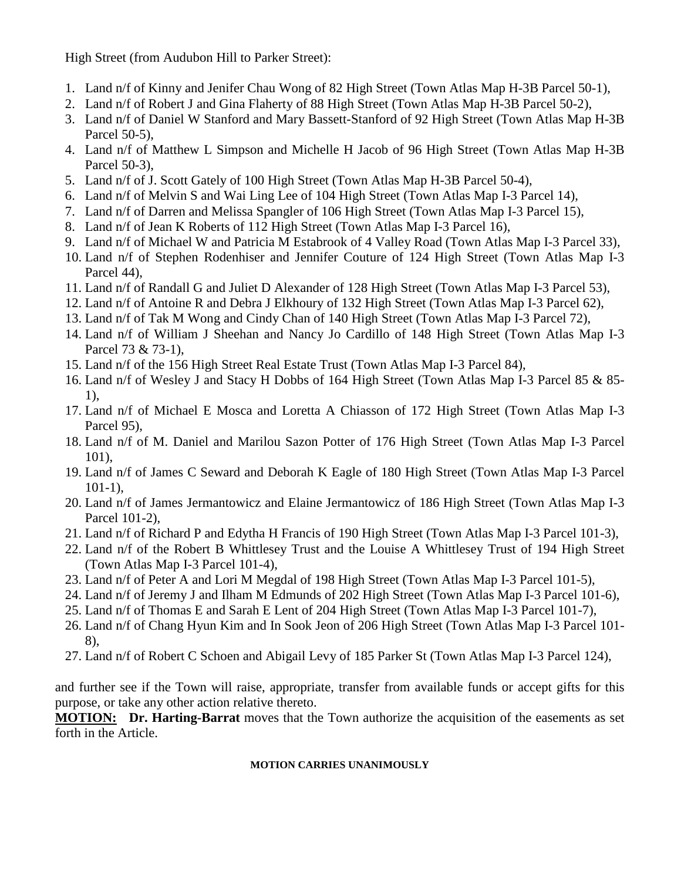High Street (from Audubon Hill to Parker Street):

- 1. Land n/f of Kinny and Jenifer Chau Wong of 82 High Street (Town Atlas Map H-3B Parcel 50-1),
- 2. Land n/f of Robert J and Gina Flaherty of 88 High Street (Town Atlas Map H-3B Parcel 50-2),
- 3. Land n/f of Daniel W Stanford and Mary Bassett-Stanford of 92 High Street (Town Atlas Map H-3B Parcel 50-5),
- 4. Land n/f of Matthew L Simpson and Michelle H Jacob of 96 High Street (Town Atlas Map H-3B Parcel 50-3),
- 5. Land n/f of J. Scott Gately of 100 High Street (Town Atlas Map H-3B Parcel 50-4),
- 6. Land n/f of Melvin S and Wai Ling Lee of 104 High Street (Town Atlas Map I-3 Parcel 14),
- 7. Land n/f of Darren and Melissa Spangler of 106 High Street (Town Atlas Map I-3 Parcel 15),
- 8. Land n/f of Jean K Roberts of 112 High Street (Town Atlas Map I-3 Parcel 16),
- 9. Land n/f of Michael W and Patricia M Estabrook of 4 Valley Road (Town Atlas Map I-3 Parcel 33),
- 10. Land n/f of Stephen Rodenhiser and Jennifer Couture of 124 High Street (Town Atlas Map I-3 Parcel 44),
- 11. Land n/f of Randall G and Juliet D Alexander of 128 High Street (Town Atlas Map I-3 Parcel 53),
- 12. Land n/f of Antoine R and Debra J Elkhoury of 132 High Street (Town Atlas Map I-3 Parcel 62),
- 13. Land n/f of Tak M Wong and Cindy Chan of 140 High Street (Town Atlas Map I-3 Parcel 72),
- 14. Land n/f of William J Sheehan and Nancy Jo Cardillo of 148 High Street (Town Atlas Map I-3 Parcel 73 & 73-1),
- 15. Land n/f of the 156 High Street Real Estate Trust (Town Atlas Map I-3 Parcel 84),
- 16. Land n/f of Wesley J and Stacy H Dobbs of 164 High Street (Town Atlas Map I-3 Parcel 85 & 85- 1),
- 17. Land n/f of Michael E Mosca and Loretta A Chiasson of 172 High Street (Town Atlas Map I-3 Parcel 95),
- 18. Land n/f of M. Daniel and Marilou Sazon Potter of 176 High Street (Town Atlas Map I-3 Parcel 101),
- 19. Land n/f of James C Seward and Deborah K Eagle of 180 High Street (Town Atlas Map I-3 Parcel 101-1),
- 20. Land n/f of James Jermantowicz and Elaine Jermantowicz of 186 High Street (Town Atlas Map I-3 Parcel 101-2),
- 21. Land n/f of Richard P and Edytha H Francis of 190 High Street (Town Atlas Map I-3 Parcel 101-3),
- 22. Land n/f of the Robert B Whittlesey Trust and the Louise A Whittlesey Trust of 194 High Street (Town Atlas Map I-3 Parcel 101-4),
- 23. Land n/f of Peter A and Lori M Megdal of 198 High Street (Town Atlas Map I-3 Parcel 101-5),
- 24. Land n/f of Jeremy J and Ilham M Edmunds of 202 High Street (Town Atlas Map I-3 Parcel 101-6),
- 25. Land n/f of Thomas E and Sarah E Lent of 204 High Street (Town Atlas Map I-3 Parcel 101-7),
- 26. Land n/f of Chang Hyun Kim and In Sook Jeon of 206 High Street (Town Atlas Map I-3 Parcel 101- 8),
- 27. Land n/f of Robert C Schoen and Abigail Levy of 185 Parker St (Town Atlas Map I-3 Parcel 124),

and further see if the Town will raise, appropriate, transfer from available funds or accept gifts for this purpose, or take any other action relative thereto.

**MOTION: Dr. Harting-Barrat** moves that the Town authorize the acquisition of the easements as set forth in the Article.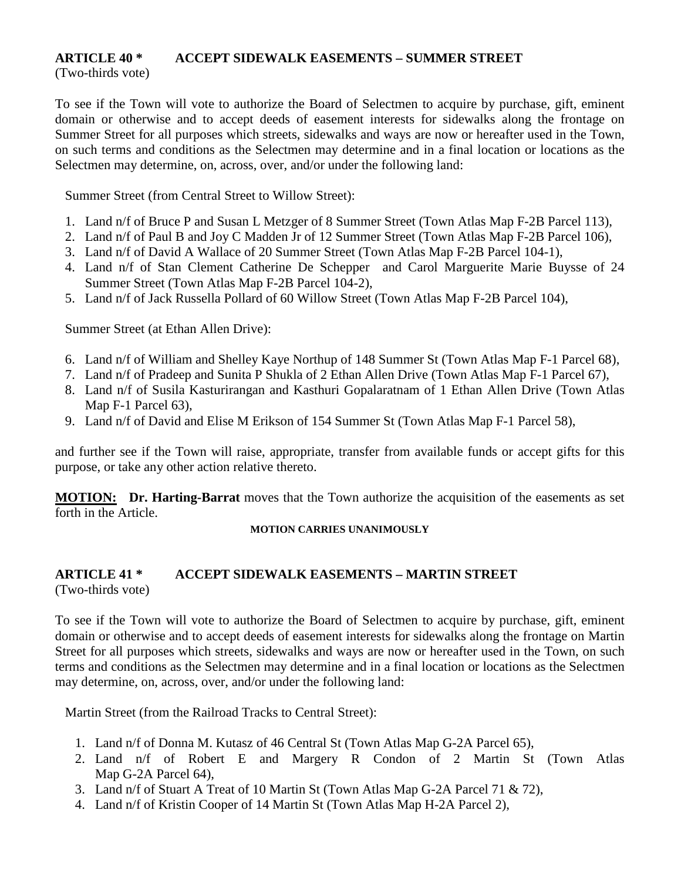## **ARTICLE 40 \* ACCEPT SIDEWALK EASEMENTS – SUMMER STREET**

(Two-thirds vote)

To see if the Town will vote to authorize the Board of Selectmen to acquire by purchase, gift, eminent domain or otherwise and to accept deeds of easement interests for sidewalks along the frontage on Summer Street for all purposes which streets, sidewalks and ways are now or hereafter used in the Town, on such terms and conditions as the Selectmen may determine and in a final location or locations as the Selectmen may determine, on, across, over, and/or under the following land:

Summer Street (from Central Street to Willow Street):

- 1. Land n/f of Bruce P and Susan L Metzger of 8 Summer Street (Town Atlas Map F-2B Parcel 113),
- 2. Land n/f of Paul B and Joy C Madden Jr of 12 Summer Street (Town Atlas Map F-2B Parcel 106),
- 3. Land n/f of David A Wallace of 20 Summer Street (Town Atlas Map F-2B Parcel 104-1),
- 4. Land n/f of Stan Clement Catherine De Schepper and Carol Marguerite Marie Buysse of 24 Summer Street (Town Atlas Map F-2B Parcel 104-2),
- 5. Land n/f of Jack Russella Pollard of 60 Willow Street (Town Atlas Map F-2B Parcel 104),

Summer Street (at Ethan Allen Drive):

- 6. Land n/f of William and Shelley Kaye Northup of 148 Summer St (Town Atlas Map F-1 Parcel 68),
- 7. Land n/f of Pradeep and Sunita P Shukla of 2 Ethan Allen Drive (Town Atlas Map F-1 Parcel 67),
- 8. Land n/f of Susila Kasturirangan and Kasthuri Gopalaratnam of 1 Ethan Allen Drive (Town Atlas Map F-1 Parcel 63),
- 9. Land n/f of David and Elise M Erikson of 154 Summer St (Town Atlas Map F-1 Parcel 58),

and further see if the Town will raise, appropriate, transfer from available funds or accept gifts for this purpose, or take any other action relative thereto.

**MOTION: Dr. Harting-Barrat** moves that the Town authorize the acquisition of the easements as set forth in the Article.

#### **MOTION CARRIES UNANIMOUSLY**

#### **ARTICLE 41 \* ACCEPT SIDEWALK EASEMENTS – MARTIN STREET** (Two-thirds vote)

To see if the Town will vote to authorize the Board of Selectmen to acquire by purchase, gift, eminent domain or otherwise and to accept deeds of easement interests for sidewalks along the frontage on Martin Street for all purposes which streets, sidewalks and ways are now or hereafter used in the Town, on such terms and conditions as the Selectmen may determine and in a final location or locations as the Selectmen may determine, on, across, over, and/or under the following land:

Martin Street (from the Railroad Tracks to Central Street):

- 1. Land n/f of Donna M. Kutasz of 46 Central St (Town Atlas Map G-2A Parcel 65),
- 2. Land n/f of Robert E and Margery R Condon of 2 Martin St (Town Atlas Map G-2A Parcel 64),
- 3. Land n/f of Stuart A Treat of 10 Martin St (Town Atlas Map G-2A Parcel 71 & 72),
- 4. Land n/f of Kristin Cooper of 14 Martin St (Town Atlas Map H-2A Parcel 2),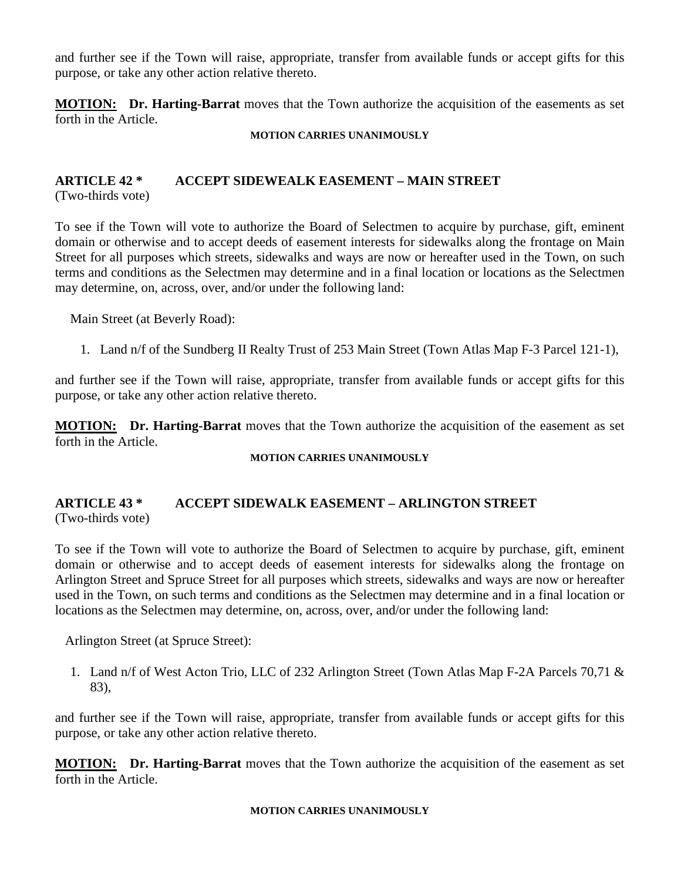and further see if the Town will raise, appropriate, transfer from available funds or accept gifts for this purpose, or take any other action relative thereto.

**MOTION: Dr. Harting-Barrat** moves that the Town authorize the acquisition of the easements as set forth in the Article.

#### **MOTION CARRIES UNANIMOUSLY**

#### **ARTICLE 42 \* ACCEPT SIDEWEALK EASEMENT – MAIN STREET** (Two-thirds vote)

To see if the Town will vote to authorize the Board of Selectmen to acquire by purchase, gift, eminent domain or otherwise and to accept deeds of easement interests for sidewalks along the frontage on Main Street for all purposes which streets, sidewalks and ways are now or hereafter used in the Town, on such terms and conditions as the Selectmen may determine and in a final location or locations as the Selectmen may determine, on, across, over, and/or under the following land:

Main Street (at Beverly Road):

1. Land n/f of the Sundberg II Realty Trust of 253 Main Street (Town Atlas Map F-3 Parcel 121-1),

and further see if the Town will raise, appropriate, transfer from available funds or accept gifts for this purpose, or take any other action relative thereto.

**MOTION: Dr. Harting-Barrat** moves that the Town authorize the acquisition of the easement as set forth in the Article.

#### **MOTION CARRIES UNANIMOUSLY**

## **ARTICLE 43 \* ACCEPT SIDEWALK EASEMENT – ARLINGTON STREET** (Two-thirds vote)

To see if the Town will vote to authorize the Board of Selectmen to acquire by purchase, gift, eminent domain or otherwise and to accept deeds of easement interests for sidewalks along the frontage on Arlington Street and Spruce Street for all purposes which streets, sidewalks and ways are now or hereafter used in the Town, on such terms and conditions as the Selectmen may determine and in a final location or locations as the Selectmen may determine, on, across, over, and/or under the following land:

Arlington Street (at Spruce Street):

1. Land n/f of West Acton Trio, LLC of 232 Arlington Street (Town Atlas Map F-2A Parcels 70,71 & 83),

and further see if the Town will raise, appropriate, transfer from available funds or accept gifts for this purpose, or take any other action relative thereto.

**MOTION: Dr. Harting-Barrat** moves that the Town authorize the acquisition of the easement as set forth in the Article.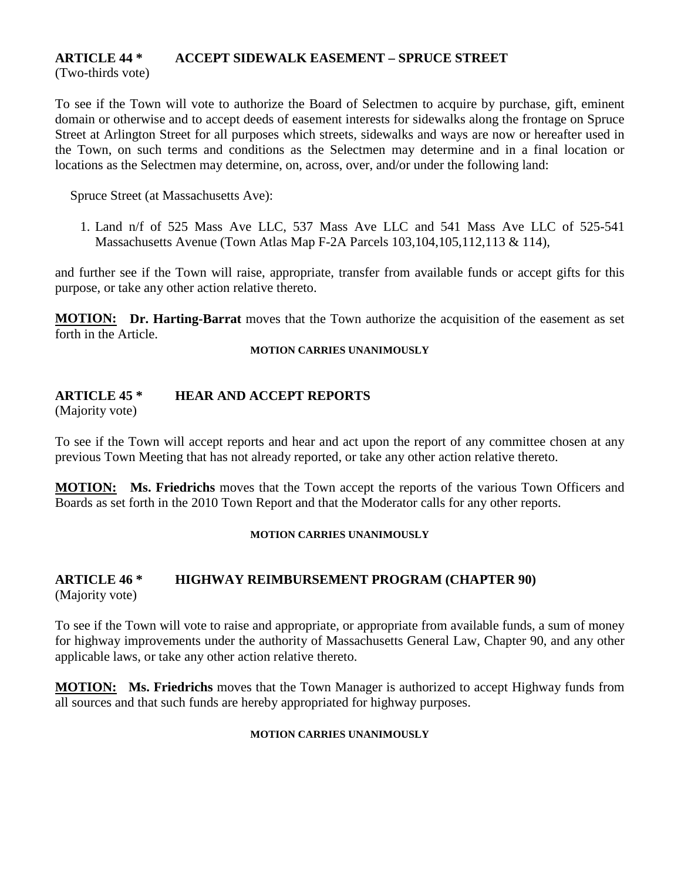## **ARTICLE 44 \* ACCEPT SIDEWALK EASEMENT – SPRUCE STREET**

(Two-thirds vote)

To see if the Town will vote to authorize the Board of Selectmen to acquire by purchase, gift, eminent domain or otherwise and to accept deeds of easement interests for sidewalks along the frontage on Spruce Street at Arlington Street for all purposes which streets, sidewalks and ways are now or hereafter used in the Town, on such terms and conditions as the Selectmen may determine and in a final location or locations as the Selectmen may determine, on, across, over, and/or under the following land:

Spruce Street (at Massachusetts Ave):

1. Land n/f of 525 Mass Ave LLC, 537 Mass Ave LLC and 541 Mass Ave LLC of 525-541 Massachusetts Avenue (Town Atlas Map F-2A Parcels 103,104,105,112,113 & 114),

and further see if the Town will raise, appropriate, transfer from available funds or accept gifts for this purpose, or take any other action relative thereto.

**MOTION: Dr. Harting-Barrat** moves that the Town authorize the acquisition of the easement as set forth in the Article.

#### **MOTION CARRIES UNANIMOUSLY**

#### **ARTICLE 45 \* HEAR AND ACCEPT REPORTS**

(Majority vote)

To see if the Town will accept reports and hear and act upon the report of any committee chosen at any previous Town Meeting that has not already reported, or take any other action relative thereto.

**MOTION: Ms. Friedrichs** moves that the Town accept the reports of the various Town Officers and Boards as set forth in the 2010 Town Report and that the Moderator calls for any other reports.

#### **MOTION CARRIES UNANIMOUSLY**

# **ARTICLE 46 \* HIGHWAY REIMBURSEMENT PROGRAM (CHAPTER 90)**

(Majority vote)

To see if the Town will vote to raise and appropriate, or appropriate from available funds, a sum of money for highway improvements under the authority of Massachusetts General Law, Chapter 90, and any other applicable laws, or take any other action relative thereto.

**MOTION: Ms. Friedrichs** moves that the Town Manager is authorized to accept Highway funds from all sources and that such funds are hereby appropriated for highway purposes.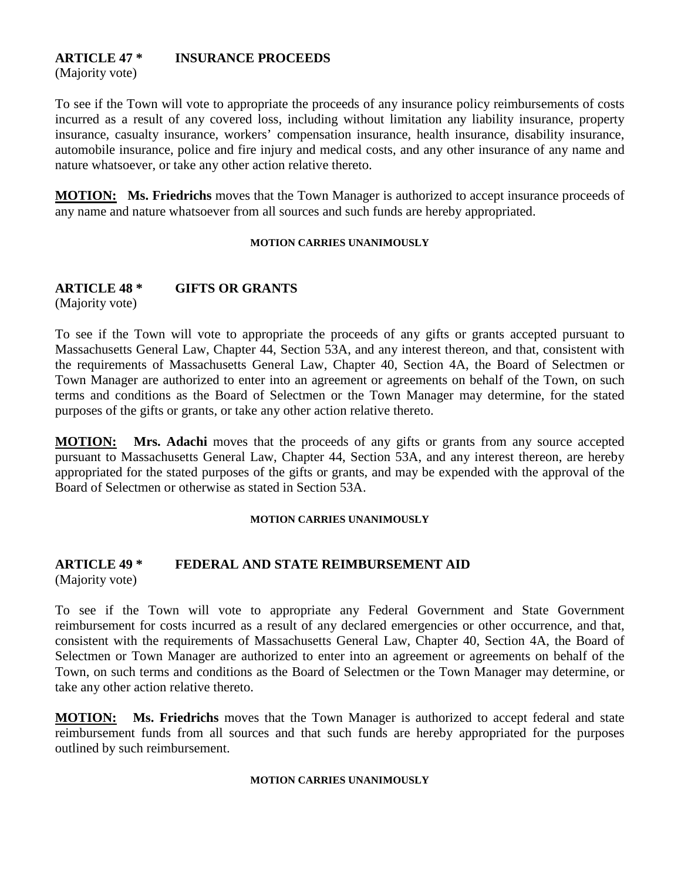## **ARTICLE 47 \* INSURANCE PROCEEDS**

(Majority vote)

To see if the Town will vote to appropriate the proceeds of any insurance policy reimbursements of costs incurred as a result of any covered loss, including without limitation any liability insurance, property insurance, casualty insurance, workers' compensation insurance, health insurance, disability insurance, automobile insurance, police and fire injury and medical costs, and any other insurance of any name and nature whatsoever, or take any other action relative thereto.

**MOTION: Ms. Friedrichs** moves that the Town Manager is authorized to accept insurance proceeds of any name and nature whatsoever from all sources and such funds are hereby appropriated.

#### **MOTION CARRIES UNANIMOUSLY**

## **ARTICLE 48 \* GIFTS OR GRANTS**

(Majority vote)

To see if the Town will vote to appropriate the proceeds of any gifts or grants accepted pursuant to Massachusetts General Law, Chapter 44, Section 53A, and any interest thereon, and that, consistent with the requirements of Massachusetts General Law, Chapter 40, Section 4A, the Board of Selectmen or Town Manager are authorized to enter into an agreement or agreements on behalf of the Town, on such terms and conditions as the Board of Selectmen or the Town Manager may determine, for the stated purposes of the gifts or grants, or take any other action relative thereto.

**MOTION: Mrs. Adachi** moves that the proceeds of any gifts or grants from any source accepted pursuant to Massachusetts General Law, Chapter 44, Section 53A, and any interest thereon, are hereby appropriated for the stated purposes of the gifts or grants, and may be expended with the approval of the Board of Selectmen or otherwise as stated in Section 53A.

#### **MOTION CARRIES UNANIMOUSLY**

#### **ARTICLE 49 \* FEDERAL AND STATE REIMBURSEMENT AID** (Majority vote)

To see if the Town will vote to appropriate any Federal Government and State Government reimbursement for costs incurred as a result of any declared emergencies or other occurrence, and that, consistent with the requirements of Massachusetts General Law, Chapter 40, Section 4A, the Board of Selectmen or Town Manager are authorized to enter into an agreement or agreements on behalf of the Town, on such terms and conditions as the Board of Selectmen or the Town Manager may determine, or take any other action relative thereto.

**MOTION: Ms. Friedrichs** moves that the Town Manager is authorized to accept federal and state reimbursement funds from all sources and that such funds are hereby appropriated for the purposes outlined by such reimbursement.